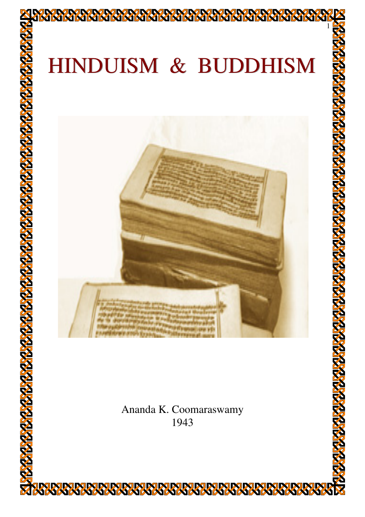# HINDUISM & BUDDHISM



Ananda K. Coomaraswamy 1943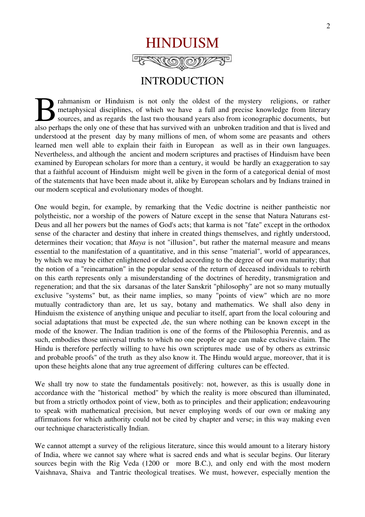

# INTRODUCTION

rahmanism or Hinduism is not only the oldest of the mystery religions, or rather metaphysical disciplines, of which we have a full and precise knowledge from literary sources, and as regards the last two thousand years also from iconographic documents, but **also perhaps and as regards** the last two thousand years also from iconographic documents, but also perhaps the only one of these that has survived with an unbroken tradition and that is lived and is lived and is lived an understood at the present day by many millions of men, of whom some are peasants and others learned men well able to explain their faith in European as well as in their own languages. Nevertheless, and although the ancient and modern scriptures and practises of Hinduism have been examined by European scholars for more than a century, it would be hardly an exaggeration to say that a faithful account of Hinduism might well be given in the form of a categorical denial of most of the statements that have been made about it, alike by European scholars and by Indians trained in our modern sceptical and evolutionary modes of thought.

One would begin, for example, by remarking that the Vedic doctrine is neither pantheistic nor polytheistic, nor a worship of the powers of Nature except in the sense that Natura Naturans est-Deus and all her powers but the names of God's acts; that karma is not "fate" except in the orthodox sense of the character and destiny that inhere in created things themselves, and rightly understood, determines their vocation; that *Maya* is not "illusion", but rather the maternal measure and means essential to the manifestation of a quantitative, and in this sense "material", world of appearances, by which we may be either enlightened or deluded according to the degree of our own maturity; that the notion of a "reincarnation" in the popular sense of the return of deceased individuals to rebirth on this earth represents only a misunderstanding of the doctrines of heredity, transmigration and regeneration; and that the six darsanas of the later Sanskrit "philosophy" are not so many mutually exclusive "systems" but, as their name implies, so many "points of view" which are no more mutually contradictory than are, let us say, botany and mathematics. We shall also deny in Hinduism the existence of anything unique and peculiar to itself, apart from the local colouring and social adaptations that must be expected ,de, the sun where nothing can be known except in the mode of the knower. The Indian tradition is one of the forms of the Philosophia Perennis, and as such, embodies those universal truths to which no one people or age can make exclusive claim. The Hindu is therefore perfectly willing to have his own scriptures made use of by others as extrinsic and probable proofs" of the truth as they also know it. The Hindu would argue, moreover, that it is upon these heights alone that any true agreement of differing cultures can be effected.

We shall try now to state the fundamentals positively: not, however, as this is usually done in accordance with the "historical method" by which the reality is more obscured than illuminated, but from a strictly orthodox point of view, both as to principles and their application; endeavouring to speak with mathematical precision, but never employing words of our own or making any affirmations for which authority could not be cited by chapter and verse; in this way making even our technique characteristically Indian.

We cannot attempt a survey of the religious literature, since this would amount to a literary history of India, where we cannot say where what is sacred ends and what is secular begins. Our literary sources begin with the Rig Veda (1200 or more B.C.), and only end with the most modern Vaishnava, Shaiva and Tantric theological treatises. We must, however, especially mention the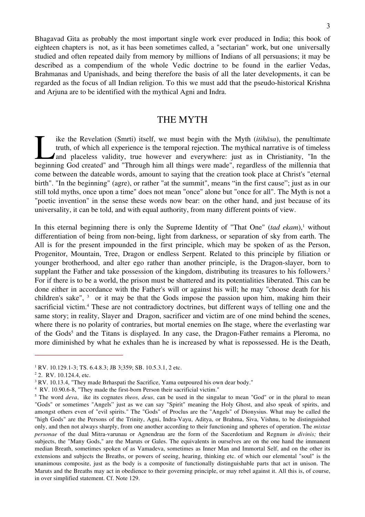Bhagavad Gita as probably the most important single work ever produced in India; this book of eighteen chapters is not, as it has been sometimes called, a "sectarian" work, but one universally studied and often repeated daily from memory by millions of Indians of all persuasions; it may be described as a compendium of the whole Vedic doctrine to be found in the earlier Vedas, Brahmanas and Upanishads, and being therefore the basis of all the later developments, it can be regarded as the focus of all Indian religion. To this we must add that the pseudo-historical Krishna and Arjuna are to be identified with the mythical Agni and Indra.

## THE MYTH

ike the Revelation (Smrti) itself, we must begin with the Myth (*itihāsa*), the penultimate truth, of which all experience is the temporal rejection. The mythical narrative is of timeless A and placeless validity, true however and everywhere: just as in Christianity, "In the ike the Revelation (Smrti) itself, we must begin with the Myth (*itihāsa*), the penultimate truth, of which all experience is the temporal rejection. The mythical narrative is of timeless and placeless validity, true howev come between the dateable words, amount to saying that the creation took place at Christ's "eternal birth". "In the beginning" (agre), or rather "at the summit", means "in the first cause"; just as in our still told myths, once upon a time" does not mean "once" alone but "once for all". The Myth is not a "poetic invention" in the sense these words now bear: on the other hand, and just because of its universality, it can be told, and with equal authority, from many different points of view.

In this eternal beginning there is only the Supreme Identity of "That One" (*tad ekam*),<sup>1</sup> without differentiation of being from non-being, light from darkness, or separation of sky from earth. The All is for the present impounded in the first principle, which may be spoken of as the Person, Progenitor, Mountain, Tree, Dragon or endless Serpent. Related to this principle by filiation or younger brotherhood, and alter ego rather than another principle, is the Dragon-slayer, born to supplant the Father and take possession of the kingdom, distributing its treasures to his followers.<sup>2</sup> For if there is to be a world, the prison must be shattered and its potentialities liberated. This can be done either in accordance with the Father's will or against his will; he may "choose death for his children's sake", <sup>3</sup> or it may be that the Gods impose the passion upon him, making him their sacrificial victim.<sup>4</sup> These are not contradictory doctrines, but different ways of telling one and the same story; in reality, Slayer and Dragon, sacrificer and victim are of one mind behind the scenes, where there is no polarity of contraries, but mortal enemies on Ihe stage, where the everlasting war of the Gods<sup>5</sup> and the Titans is displayed. In any case, the Dragon-Father remains a Pleroma, no more diminished by what he exhales than he is increased by what is repossessed. He is the Death,

<sup>&</sup>lt;sup>1</sup> RV. 10.129.1-3; TS. 6.4.8.3; JB 3;359; SB. 10.5.3.1, 2 etc.<br><sup>2</sup> 2. RV. 10.124.4, etc.<br><sup>3</sup> RV. 10.13.4, "They made Brhaspati the Sacrifice, Yama outpoured his own dear body."<br><sup>4</sup> RV. 10.90.6-8, "They made the first-bor

<sup>5</sup> The word *deva*, ike its cognates *theos, deus*, can be used in the singular to mean "God" or in the plural to mean "Gods" or sometimes "Angels" just as we can say "Spirit" meaning the Holy Ghost, and also speak of spirits, and amongst others even of "evil spirits." The "Gods" of Proclus are the "Angels" of Dionysius. What may be called the "high Gods" are the Persons of the Trinity, Agni, Indra-Vayu, Aditya, or Brahma, Siva, Vishnu, to be distinguished only, and then not always sharply, from one another according to their functioning and spheres of operation. The *mixtae personae* of the dual Mitra-varunau or Agnendrau are the form of the Sacerdotium and Regnum *in divinis;* their subjects, the "Many Gods," are the Maruts or Gales. The equivalents in ourselves are on the one hand the immanent median Breath, sometimes spoken of as Vamadeva, sometimes as Inner Man and Immortal Self, and on the other its extensions and subjects the Breaths, or powers of seeing, hearing, thinking etc. of which our elemental "soul" is the unanimous composite, just as the body is a composite of functionally distinguishable parts that act in unison. The Maruts and the Breaths may act in obedience to their governing principle, or may rebel against it. All this is, of course, in over simplified statement. Cf. Note 129.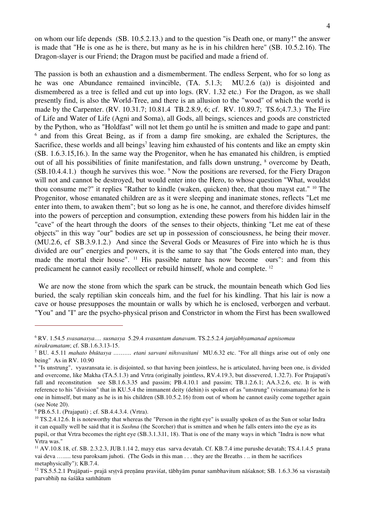on whom our life depends (SB. 10.5.2.13.) and to the question "is Death one, or many!" the answer is made that "He is one as he is there, but many as he is in his children here" (SB. 10.5.2.16). The Dragon-slayer is our Friend; the Dragon must be pacified and made a friend of.

The passion is both an exhaustion and a dismemberment. The endless Serpent, who for so long as he was one Abundance remained invincible, (TA. 5.1.3; MU.2.6 (a)) is disjointed and dismembered as a tree is felled and cut up into logs. (RV. 1.32 etc.) For the Dragon, as we shall presently find, is also the World-Tree, and there is an allusion to the "wood" of which the world is made by the Carpenter. (RV. 10.31.7; 10.81.4 TB.2.8.9, 6; cf. RV. 10.89.7; TS.6;4.7.3.) The Fire of Life and Water of Life (Agni and Soma), all Gods, all beings, sciences and goods are constricted by the Python, who as "Holdfast" will not let them go until he is smitten and made to gape and pant: 6 and from this Great Being, as if from a damp fire smoking, are exhaled the Scriptures, the Sacrifice, these worlds and all beings<sup>7</sup> leaving him exhausted of his contents and like an empty skin (SB. 1.6.3.15,16.). In the same way the Progenitor, when he has emanated his children, is emptied out of all his possibilities of finite manifestation, and falls down unstrung,  $\delta$  overcome by Death,  $(SB.10.4.4.1.)$  though he survives this woe.  $9$  Now the positions are reversed, for the Fiery Dragon will not and cannot be destroyed, but would enter into the Hero, to whose question "What, wouldst thou consume me?" it replies "Rather to kindle (waken, quicken) thee, that thou mayst eat." <sup>10</sup> The Progenitor, whose emanated children are as it were sleeping and inanimate stones, reflects "Let me enter into them, to awaken them"; but so long as he is one, he cannot, and therefore divides himself into the powers of perception and consumption, extending these powers from his hidden lair in the "cave" of the heart through the doors of the senses to their objects, thinking "Let me eat of these objects" in this way "our" bodies are set up in possession of consciousness, he being their mover. (MU.2.6, cf SB.3.9.1.2.) And since the Several Gods or Measures of Fire into which he is thus divided are our" energies and powers, it is the same to say that "the Gods entered into man, they made the mortal their house". <sup>11</sup> His passible nature has now become ours": and from this predicament he cannot easily recollect or rebuild himself, whole and complete. 12

We are now the stone from which the spark can be struck, the mountain beneath which God lies buried, the scaly reptilian skin conceals him, and the fuel for his kindling. That his lair is now a cave or house presupposes the mountain or walls by which he is enclosed, verborgen and verbaut. "You" and "I" are the psycho-physical prison and Constrictor in whom the First has been swallowed

<sup>6</sup> RV. 1.54.5 *svasanasya…. susnasya* 5.29.4 *svasantam danavam*. TS.2.5.2.4 *janjabhyamanad agnisomau nirakramatam*; cf. SB.1.6.3.13-15.

<sup>7</sup> BU. 4.5.11 *mahato bhūtasya ………. etani sarvani nihsvasitani* MU.6.32 etc. "For all things arise out of only one being" As in RV. 10.90

<sup>&</sup>lt;sup>8</sup> "Is unstrung", vyasransata ie. is disjointed, so that having been jointless, he is articulated, having been one, is divided and overcome, like Makha (TA.5.1.3) and Vrtra (originally jointless, RV.4.19.3, but dissevered, 1.32.7). For Prajapati's fall and reconstitution see SB.1.6.3.35 and passim; PB.4.10.1 and passim; TB.1.2.6.1; AA.3.2.6, etc. It is with reference to his "division" that in KU.5.4 the immanent deity (dehin) is spoken of as "unstrung" (visransamana) for he is one in himself, but many as he is in his children (SB.10.5.2.16) from out of whom he cannot easily come together again (see Note 20).

 $9$  PB.6.5.1. (Prajapati) ; cf. SB.4.4.3.4. (Vrtra).

<sup>&</sup>lt;sup>10</sup> TS.2.4.12.6. It is noteworthy that whereas the "Person in the right eye" is usually spoken of as the Sun or solar Indra it can equally well be said that it is *Sushna* (the Scorcher) that is smitten and when he falls enters into the eye as its pupil, or that Vrtra becomes the right eye (SB.3.1.3.l1, 18). That is one of the many ways in which "Indra is now what Vrtra was."

<sup>11</sup> AV.10.8.18, cf. SB. 2.3.2.3, JUB.1.14 2, mayy etas sarva devatah. Cf. KB.7.4 ime purushe devatah; TS.4.1.4.5 prana vai deva …..... tesu paroksam juhoti. (The Gods in this man . . . they are the Breaths . .. in them he sacrifices metaphysically"); KB.7.4.

<sup>&</sup>lt;sup>12</sup> TS.5.5.2.1 Prajāpati~ prajā srstvā prenānu pravišat, tābhyām punar sambhavitum nāšaknot; SB. 1.6.3.36 sa visrastaih parvabhih na śaśāka saṁhātum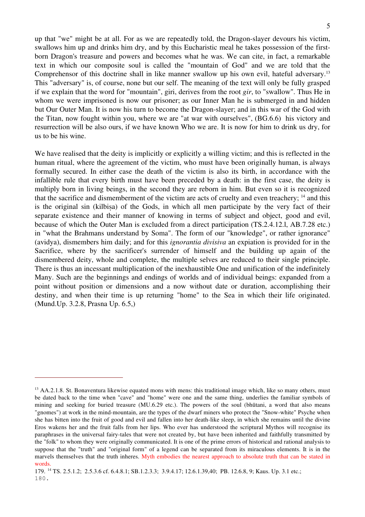up that "we" might be at all. For as we are repeatedly told, the Dragon-slayer devours his victim, swallows him up and drinks him dry, and by this Eucharistic meal he takes possession of the firstborn Dragon's treasure and powers and becomes what he was. We can cite, in fact, a remarkable text in which our composite soul is called the "mountain of God" and we are told that the Comprehensor of this doctrine shall in like manner swallow up his own evil, hateful adversary.13 This "adversary" is, of course, none but our self. The meaning of the text will only be fully grasped if we explain that the word for "mountain", giri, derives from the root *gir*, to "swallow". Thus He in whom we were imprisoned is now our prisoner; as our Inner Man he is submerged in and hidden but Our Outer Man. It is now his turn to become the Dragon-slayer; and in this war of the God with the Titan, now fought within you, where we are "at war with ourselves", (BG.6.6) his victory and resurrection will be also ours, if we have known Who we are. It is now for him to drink us dry, for us to be his wine.

We have realised that the deity is implicitly or explicitly a willing victim; and this is reflected in the human ritual, where the agreement of the victim, who must have been originally human, is always formally secured. In either case the death of the victim is also its birth, in accordance with the infallible rule that every birth must have been preceded by a death: in the first case, the deity is multiply born in living beings, in the second they are reborn in him. But even so it is recognized that the sacrifice and dismemberment of the victim are acts of cruelty and even treachery; 14 and this is the original sin (kilbisa) of the Gods, in which all men participate by the very fact of their separate existence and their manner of knowing in terms of subject and object, good and evil, because of which the Outer Man is excluded from a direct participation (TS.2.4.12.l, AB.7.28 etc.) in "what the Brahmans understand by Soma". The form of our "knowledge", or rather ignorance" (avidya), dismembers him daily; and for this *ignorantia divisiva* an expiation is provided for in the Sacrifice, where by the sacrificer's surrender of himself and the building up again of the dismembered deity, whole and complete, the multiple selves are reduced to their single principle. There is thus an incessant multiplication of the inexhaustible One and unification of the indefinitely Many. Such are the beginnings and endings of worlds and of individual beings: expanded from a point without position or dimensions and a now without date or duration, accomplishing their destiny, and when their time is up returning "home" to the Sea in which their life originated. (Mund.Up. 3.2.8, Prasna Up. 6.5,)

<sup>&</sup>lt;sup>13</sup> AA.2.1.8. St. Bonaventura likewise equated mons with mens: this traditional image which, like so many others, must be dated back to the time when "cave" and "home" were one and the same thing, underlies the familiar symbols of mining and seeking for buried treasure (MU.6.29 etc.). The powers of the soul (bhūtani, a word that also means "gnomes") at work in the mind-mountain, are the types of the dwarf miners who protect the "Snow-white" Psyche when she has bitten into the fruit of good and evil and fallen into her death-like sleep, in which she remains until the divine Eros wakens her and the fruit falls from her lips. Who ever has understood the scriptural Mythos will recognise its paraphrases in the universal fairy-tales that were not created by, but have been inherited and faithfully transmitted by the "folk" to whom they were originally communicated. It is one of the prime errors of historical and rational analysis to suppose that the "truth" and "original form" of a legend can be separated from its miraculous elements. It is in the marvels themselves that the truth inheres. Myth embodies the nearest approach to absolute truth that can be stated in words.

<sup>179.</sup> <sup>14</sup> TS. 2.5.1.2; 2.5.3.6 cf. 6.4.8.1; SB.1.2.3.3; 3.9.4.17; 12.6.1.39,40; PB. 12.6.8, 9; Kaus. Up. 3.1 etc.; 180.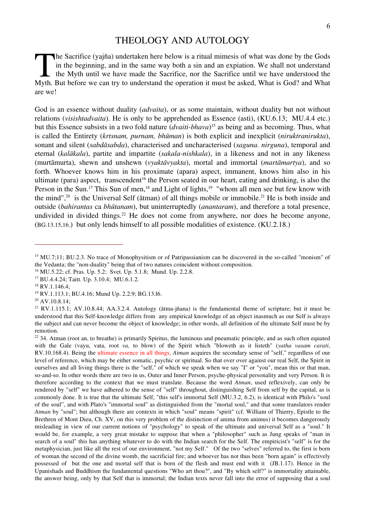#### THEOLOGY AND AUTOLOGY

he Sacrifice (yajña) undertaken here below is a ritual mimesis of what was done by the Gods in the beginning, and in the same way both a sin and an expiation. We shall not understand the Myth until we have made the Sacrifice, nor the Sacrifice until we have understood the The Sacrifice (yajña) undertaken here below is a ritual mimesis of what was done by the Gods<br>in the beginning, and in the same way both a sin and an expiation. We shall not understand<br>the Myth until we have made the Sacrif are we!

God is an essence without duality (*advaita*), or as some maintain, without duality but not without relations (*visishtadvaita*). He is only to be apprehended as Essence (asti), (KU.6.13; MU.4.4 etc.) but this Essence subsists in a two fold nature (*dvaiti-bhava*) 15 as being and as becoming. Thus, what is called the Entirety (*krtsnam, purnam, bhūman*) is both explicit and inexplicit (*niruktranirukta*), sonant and silent (*sabdāsabda*), characterised and uncharacterised (*saguna. nirguna*), temporal and eternal (*kalākala*), partite and impartite (*sakala-nishkala*), in a likeness and not in any likeness (murtāmurta), shewn and unshewn (*vyaktāvyakta*), mortal and immortal (*martāmartya*), and so forth. Whoever knows him in his proximate (apara) aspect, immanent, knows him also in his ultimate (para) aspect, transcendent<sup>16</sup> the Person seated in our heart, eating and drinking, is also the Person in the Sun.<sup>17</sup> This Sun of men,<sup>18</sup> and Light of lights,<sup>19</sup> "whom all men see but few know with the mind",<sup>20</sup> is the Universal Self (atman) of all things mobile or immobile.<sup>21</sup> He is both inside and outside (*bahirantas* ca *bhūtanam*), but uninterruptedly (*anantaram*), and therefore a total presence, undivided in divided things.<sup>22</sup> He does not come from anywhere, nor does he become anyone, (BG.13.15,16.) but only lends himself to all possible modalities of existence. (KU.2.18.)

<sup>&</sup>lt;sup>15</sup> MU.7;11; BU.2.3. No trace of Monophysitism or of Patripassianism can be discovered in the so-called "monism" of the Vedanta; the "non-duality" being that of two natures coincident without composition. 16 MU.5.22; cf. Pras. Up. 5.2; Svet. Up. 5.1.8; Mund. Up. 2.2.8.

<sup>17</sup> BU.4.4.24; Taitt. Up. 3.10.4; MU.6.1.2.

<sup>18</sup> RV.1.146.4;

<sup>19</sup> RV.1.113.1; BU.4.16; Mund Up. 2.2.9; BG.13.l6.

 $20$  AV.10.8.14;

<sup>&</sup>lt;sup>21</sup> RV.1.115.1; AV.10.8.44; AA.3.2.4. Autology (ātma-jñana) is the fundamental theme of scripture; but it must be understood that this Self-knowledge differs from any empirical knowledge of an object inasmuch as our Self is always the subject and can never become the object of knowledge; in other words, all definition of the ultimate Self must be by remotion.

<sup>&</sup>lt;sup>22</sup> 34. Atman (root an, to breathe) is primarily Spiritus, the luminous and pneumatic principle, and as such often equated with the Gale (vayu, vata, root *va,* to blow) of the Spirit which "bloweth as it listeth" (*yatha vasam carati*, RV.10.168.4). Being the ultimate essence in all things, *Atman* acquires the secondary sense of "self," regardless of our level of reference, which may be either somatic, psychic or spiritual. So that over over against our real Self, the Spirit in ourselves and all living things there is the "self," of which we speak when we say "I" or "you", mean this or that man, so-and-so. In other words there are two in us, Outer and Inner Person, psyche-physical personality and very Person. It is therefore according to the context that we must translate. Because the word *Atman*, used reflexively, can only be rendered by "self" we have adhered to the sense of "self" throughout, distinguishing Self from self by the capital, as is commonly done. It is true that the ultimate Self, "this self's immortal Self (MU.3.2, 6.2), is identical with Philo's "soul of the soul", and with Plato's "immortal soul" as distinguished from the "mortal soul," and that some translators render *Atman* by "soul"; but although there are contexts in which "soul" means "spirit" (cf. William of Thierry, Epistle to the Brethren of Mont Dieu, Ch. XV, on this very problem of the distinction of anima from animus) it becomes dangerously misleading in view of our current notions of "psychology" to speak of the ultimate and universal Self as a "soul." It would be, for example, a very great mistake to suppose that when a "philosopher" such as Jung speaks of "man in search of a soul" this has anything whatever to do with the Indian search for the Self. The empiricist's "self" is for the metaphysician, just like all the rest of our environment, "not my Self." Of the two "selves" referred to, the first is born of woman the second of the divine womb, the sacrificial fire; and whoever has not thus been "born again" is effectively possessed of but the one and mortal self that is born of the flesh and must end with it (JB.1.17). Hence in the Upanishads and Buddhism the fundamental questions "Who art thou?", and "By which self?" is immortality attainable, the answer being, only by that Self that is immortal; the Indian texts never fall into the error of supposing that a soul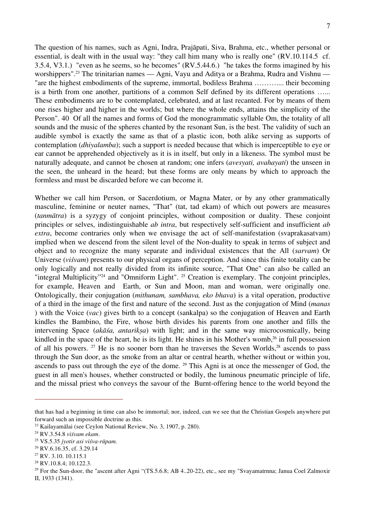The question of his names, such as Agni, Indra, Prajāpati, Siva, Brahma, etc., whether personal or essential, is dealt with in the usual way: "they call him many who is really one" (RV.10.114.5 cf. 3.5.4, V3.1.) "even as he seems, so he becomes" (RV.5.44.6.) "he takes the forms imagined by his worshippers".<sup>23</sup> The trinitarian names — Agni, Vayu and Aditya or a Brahma, Rudra and Vishnu — "are the highest embodiments of the supreme, immortal, bodiless Brahma ……….... their becoming is a birth from one another, partitions of a common Self defined by its different operations …... These embodiments are to be contemplated, celebrated, and at last recanted. For by means of them one rises higher and higher in the worlds; but where the whole ends, attains the simplicity of the Person". 40 Of all the names and forms of God the monogrammatic syllable Om, the totality of all sounds and the music of the spheres chanted by the resonant Sun, is the best. The validity of such an audible symbol is exactly the same as that of a plastic icon, both alike serving as supports of contemplation (*dhiyalamba*); such a support is needed because that which is imperceptible to eye or ear cannot be apprehended objectively as it is in itself, but only in a likeness. The symbol must be naturally adequate, and cannot be chosen at random; one infers (*avesyati, avahayati*) the unseen in the seen, the unheard in the heard; but these forms are only means by which to approach the formless and must be discarded before we can become it.

Whether we call him Person, or Sacerdotium, or Magna Mater, or by any other grammatically masculine, feminine or neuter names, "That" (tat, tad ekam) of which out powers are measures (*tanmātra*) is a syzygy of conjoint principles, without composition or duality. These conjoint principles or selves, indistinguishable *ab intra*, but respectively self-sufficient and insufficient *ab extra*, become contraries only when we envisage the act of self-manifestation (svaprakasatvam) implied when we descend from the silent level of the Non-duality to speak in terms of subject and object and to recognize the many separate and individual existences that the All (*sarvam*) Or Universe (*viśvam*) presents to our physical organs of perception. And since this finite totality can be only logically and not really divided from its infinite source, "That One" can also be called an "integral Multiplicity"<sup>24</sup> and "Omniform Light". <sup>25</sup> Creation is exemplary. The conjoint principles, for example, Heaven and Earth, or Sun and Moon, man and woman, were originally one. Ontologically, their conjugation (*mithunam, sambhava, eko bhava*) is a vital operation, productive of a third in the image of the first and nature of the second. Just as the conjugation of Mind (*manas* ) with the Voice (*vac*) gives birth to a concept (sankalpa) so the conjugation of Heaven and Earth kindles the Bambino, the Fire, whose birth divides his parents from one another and fills the intervening Space (*akāśa, antarikṣa*) with light; and in the same way microcosmically, being kindled in the space of the heart, he is its light. He shines in his Mother's womb,  $26$  in full possession of all his powers.  $27$  He is no sooner born than he traverses the Seven Worlds,  $28$  ascends to pass through the Sun door, as the smoke from an altar or central hearth, whether without or within you, ascends to pass out through the eye of the dome. 29 This Agni is at once the messenger of God, the guest in all men's houses, whether constructed or bodily, the luminous pneumatic principle of life, and the missal priest who conveys the savour of the Burnt-offering hence to the world beyond the

that has had a beginning in time can also be immortal; nor, indeed, can we see that the Christian Gospels anywhere put forward such an impossible doctrine as this.

<sup>23</sup> Kailayamālai (see Ceylon National Review, No. 3, 1907, p. 280).

<sup>24</sup> RV.3.54.8 *viśvam ekam*.

<sup>25</sup> VS.5.35 *jyotir asi viśva-rūpam.*

<sup>26</sup> RV.6.16.35, cf. 3.29.14

<sup>&</sup>lt;sup>27</sup> RV. 3.10. 10.115.1<br><sup>28</sup> RV.10.8.4; 10.122.3.

<sup>&</sup>lt;sup>29</sup> For the Sun-door, the "ascent after Agni "(TS.5.6.8; AB 4..20-22), etc., see my "Svayamatrnna; Janua Coel Zalmoxir II, 1933 (1341).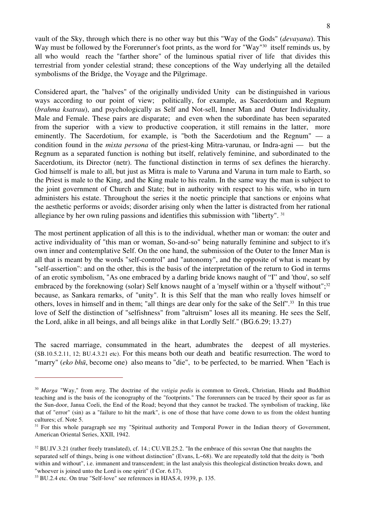vault of the Sky, through which there is no other way but this "Way of the Gods" (*devayana*). This Way must be followed by the Forerunner's foot prints, as the word for "Way"<sup>30</sup> itself reminds us, by all who would reach the "farther shore" of the luminous spatial river of life that divides this terrestrial from yonder celestial strand; these conceptions of the Way underlying all the detailed symbolisms of the Bridge, the Voyage and the Pilgrimage.

Considered apart, the "halves" of the originally undivided Unity can be distinguished in various ways according to our point of view; politically, for example, as Sacerdotium and Regnum (*brahma ksatrau*), and psychologically as Self and Not-sell, Inner Man and Outer Individuality, Male and Female. These pairs are disparate; and even when the subordinate has been separated from the superior with a view to productive cooperation, it still remains in the latter, more eminently. The Sacerdotium, for example, is "both the Sacerdotium and the Regnum" — a condition found in the *mixta persona* of the priest-king Mitra-varunau, or Indra-agni — but the Regnum as a separated function is nothing but itself, relatively feminine, and subordinated to the Sacerdotium, its Director (netr). The functional distinction in terms of sex defines the hierarchy. God himself is male to all, but just as Mitra is male to Varuna and Varuna in turn male to Earth, so the Priest is male to the King, and the King male to his realm. In the same way the man is subject to the joint government of Church and State; but in authority with respect to his wife, who in turn administers his estate. Throughout the series it the noetic principle that sanctions or enjoins what the aesthetic performs or avoids; disorder arising only when the latter is distracted from her rational allegiance by her own ruling passions and identifies this submission with "liberty". 31

The most pertinent application of all this is to the individual, whether man or woman: the outer and active individuality of "this man or woman, So-and-so" being naturally feminine and subject to it's own inner and contemplative Self. On the one hand, the submission of the Outer to the Inner Man is all that is meant by the words "self-control" and "autonomy", and the opposite of what is meant by "self-assertion": and on the other, this is the basis of the interpretation of the return to God in terms of an erotic symbolism, "As one embraced by a darling bride knows naught of "I" and 'thou', so self embraced by the foreknowing (solar) Self knows naught of a 'myself within or a 'thyself without";<sup>32</sup> because, as Sankara remarks, of "unity". It is this Self that the man who really loves himself or others, loves in himself and in them; "all things are dear only for the sake of the Self".33 In this true love of Self the distinction of "selfishness" from "altruism" loses all its meaning. He sees the Self, the Lord, alike in all beings, and all beings alike in that Lordly Self." (BG.6.29; 13.27)

The sacred marriage, consummated in the heart, adumbrates the deepest of all mysteries. (SB.10.5.2.11, 12; BU.4.3.21 etc). For this means both our death and beatific resurrection. The word to "marry" (*eko bhū*, become one) also means to "die", to be perfected, to be married. When "Each is

<sup>30</sup> *Marga* "Way," from *mrg*. The doctrine of the *vstigia pedis* is common to Greek, Christian, Hindu and Buddhist teaching and is the basis of the iconography of the "footprints." The forerunners can be traced by their spoor as far as the Sun-door, Janua Coeli, the End of the Road; beyond that they cannot be tracked. The symbolism of tracking, like that of "error" (sin) as a "failure to hit the mark", is one of those that have come down to us from the oldest hunting cultures; cf. Note 5.

<sup>&</sup>lt;sup>31</sup> For this whole paragraph see my "Spiritual authority and Temporal Power in the Indian theory of Government, American Oriental Series, XXII, 1942.

<sup>&</sup>lt;sup>32</sup> BU.IV.3.21 (rather freely translated), cf. 14.; CU.VII.25.2. "In the embrace of this sovran One that naughts the separated self of things, being is one without distinction" (Evans, L~68). We are repeatedly told that the deity is "both within and without", i.e. immanent and transcendent; in the last analysis this theological distinction breaks down, and "whoever is joined unto the Lord is one spirit" (I Cor. 6.17).

<sup>33</sup> BU.2.4 etc. On true "Self-love" see references in HJAS.4, 1939, p. 135.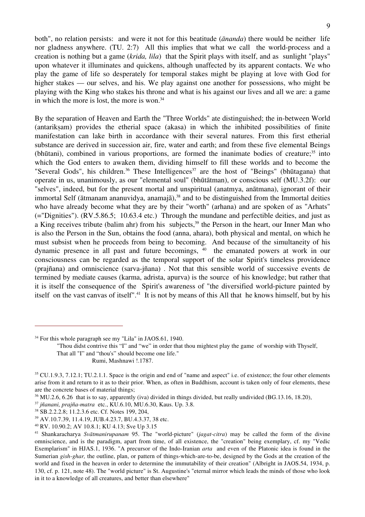both", no relation persists: and were it not for this beatitude (*ānanda*) there would be neither life nor gladness anywhere. (TU. 2:7) All this implies that what we call the world-process and a creation is nothing but a game (*krida, lila*) that the Spirit plays with itself, and as sunlight "plays" upon whatever it illuminates and quickens, although unaffected by its apparent contacts. We who play the game of life so desperately for temporal stakes might be playing at love with God for higher stakes — our selves, and his. We play against one another for possessions, who might be playing with the King who stakes his throne and what is his against our lives and all we are: a game in which the more is lost, the more is won.<sup>34</sup>

By the separation of Heaven and Earth the "Three Worlds" ate distinguished; the in-between World (antariksam) provides the etherial space (akasa) in which the inhibited possibilities of finite manifestation can lake birth in accordance with their several natures. From this first etherial substance are derived in succession air, fire, water and earth; and from these five elemental Beings (bhūtani), combined in various proportions, are formed the inanimate bodies of creature;35 into which the God enters to awaken them, dividing himself to fill these worlds and to become the "Several Gods", his children.<sup>36</sup> These Intelligences<sup>37</sup> are the host of "Beings" (bhūtagana) that operate in us, unanimously, as our "elemental soul" (bhūtātman), or conscious self (MU.3.2f): our "selves", indeed, but for the present mortal and unspiritual (anatmya, anātmana), ignorant of their immortal Self (ātmanam ananuvidya, anamajã),<sup>38</sup> and to be distinguished from the Immortal deities who have already become what they are by their "worth" (arhana) and are spoken of as "Arhats" (="Dignities"). (RV.5.86.5; 10.63.4 etc.) Through the mundane and perfectible deities, and just as a King receives tribute (balim ahr) from his subjects,<sup>39</sup> the Person in the heart, our Inner Man who is also the Person in the Sun, obtains the food (anna, ahara), both physical and mental, on which he must subsist when he proceeds from being to becoming. And because of the simultaneity of his dynamic presence in all past and future becomings, 40 the emanated powers at work in our consciousness can be regarded as the temporal support of the solar Spirit's timeless providence (prajñana) and omniscience (sarva-jñana) . Not that this sensible world of successive events de termined by mediate causes (karma, adrista, apurva) is the source of his knowledge; but rather that it is itself the consequence of the Spirit's awareness of "the diversified world-picture painted by itself on the vast canvas of itself".<sup>41</sup> It is not by means of this All that he knows himself, but by his

Rumi, Mashnawi !.1787.

<sup>&</sup>lt;sup>34</sup> For this whole paragraph see my "Lila" in JAOS.61, 1940.

<sup>&</sup>quot;Thou didst contrive this "I" and "we" in order that thou mightest play the game of worship with Thyself, That all "I" and "thou's" should become one life."

<sup>&</sup>lt;sup>35</sup> CU.1.9.3, 7.12.1; TU.2.1.1. Space is the origin and end of "name and aspect" i.e. of existence; the four other elements arise from it and return to it as to their prior. When, as often in Buddhism, account is taken only of four elements, these are the concrete bases of material things;

<sup>36</sup> MU.2.6, 6.26 that is to say, apparently (iva) divided in things divided, but really undivided (BG.13.16, 18.20), 37 *jñanani, prajña-matra* etc., KU.6.10, MU.6.30, Kaus. Up. 3.8.

<sup>38</sup> SB.2.2.2.8; 11.2.3.6 etc. Cf. Notes 199, 204,

<sup>39</sup> AV.10.7.39, 11.4.19, JUB.4.23.7, BU.4.3.37, 38 etc.

<sup>40</sup> RV. 10.90.2; AV 10.8.1; KU 4.13; Sve Up 3.15

<sup>41</sup> Shankaracharya *Svātmanirupanam* 95. The "world-picture" (*jagat-citra*) may be called the form of the divine omniscience, and is the paradigm, apart from time, of all existence, the "creation" being exemplary, cf. my "Vedic Exemplarism" in HJAS.1, 1936. "A precursor of the Indo-Iranian *arta* and even of the Platonic idea is found in the Sumerian *gish-ghar,* the outline, plan, or pattern of things-which-are-to-be, designed by the Gods at the creation of the world and fixed in the heaven in order to determine the immutability of their creation" (Albright in JAOS.54, 1934, p. 130, cf. p. 121, note 48). The "world picture" is St. Augustine's "eternal mirror which leads the minds of those who look in it to a knowledge of all creatures, and better than elsewhere"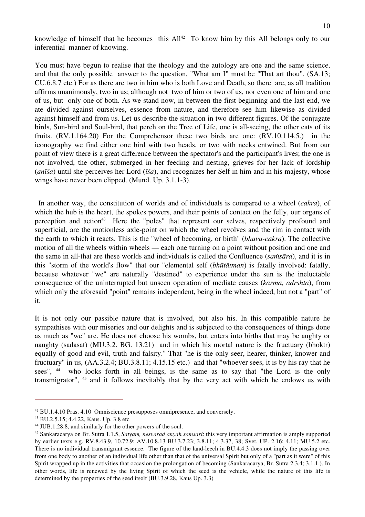knowledge of himself that he becomes this  $All^{42}$  To know him by this All belongs only to our inferential manner of knowing.

You must have begun to realise that the theology and the autology are one and the same science, and that the only possible answer to the question, "What am I" must be "That art thou". (SA.13; CU.6.8.7 etc.) For as there are two in him who is both Love and Death, so there are, as all tradition affirms unanimously, two in us; although not two of him or two of us, nor even one of him and one of us, but only one of both. As we stand now, in between the first beginning and the last end, we ate divided against ourselves, essence from nature, and therefore see him likewise as divided against himself and from us. Let us describe the situation in two different figures. Of the conjugate birds, Sun-bird and Soul-bird, that perch on the Tree of Life, one is all-seeing, the other eats of its fruits. (RV.1.164.20) For the Comprehensor these two birds are one: (RV.10.114.5.) in the iconography we find either one bird with two heads, or two with necks entwined. But from our point of view there is a great difference between the spectator's and the participant's lives; the one is not involved, the other, submerged in her feeding and nesting, grieves for her lack of lordship (*anīśa*) until she perceives her Lord (*īśa*), and recognizes her Self in him and in his majesty, whose wings have never been clipped. (Mund. Up. 3.1.1-3).

 In another way, the constitution of worlds and of individuals is compared to a wheel (*cakra*), of which the hub is the heart, the spokes powers, and their points of contact on the felly, our organs of perception and action<sup>43</sup> Here the "poles" that represent our selves, respectively profound and superficial, are the motionless axle-point on which the wheel revolves and the rim in contact with the earth to which it reacts. This is the "wheel of becoming, or birth" (*bhava-cakra*). The collective motion of all the wheels within wheels — each one turning on a point without position and one and the same in all-that are these worlds and individuals is called the Confluence (*saṁsāra*), and it is in this "storm of the world's flow" that our "elemental self (*bhūtātman*) is fatally involved: fatally, because whatever "we" are naturally "destined" to experience under the sun is the ineluctable consequence of the uninterrupted but unseen operation of mediate causes (*karma, adrshta*), from which only the aforesaid "point" remains independent, being in the wheel indeed, but not a "part" of it.

It is not only our passible nature that is involved, but also his. In this compatible nature he sympathises with our miseries and our delights and is subjected to the consequences of things done as much as "we" are. He does not choose his wombs, but enters into births that may be aughty or naughty (sadasat) (MU.3.2. BG. 13.21) and in which his mortal nature is the fructuary (bhoktr) equally of good and evil, truth and falsity." That "he is the only seer, hearer, thinker, knower and fructuary" in us, (AA.3.2.4; BU.3.8.11; 4.15.15 etc.) and that "whoever sees, it is by his ray that he sees", <sup>44</sup> who looks forth in all beings, is the same as to say that "the Lord is the only transmigrator", 45 and it follows inevitably that by the very act with which he endows us with

<sup>42</sup> BU.1.4.10 Pras. 4.10 Omniscience presupposes omnipresence, and conversely.

<sup>43</sup> BU.2.5.15; 4.4.22, Kaus. Up. 3.8 etc

<sup>44</sup> JUB.1.28.8, and similarly for the other powers of the soul.

<sup>45</sup> Sankaracarya on Br. Sutra 1.1.5, *Satyam, nesvarad anyah samsari*: this very important affirmation is amply supported by earlier texts e.g. RV.8.43.9, 10.72.9; AV.10.8.13 BU.3.7.23; 3.8.11; 4.3.37, 38; Svet. UP. 2.16; 4.11; MU.5.2 etc. There is no individual transmigrant essence. The figure of the land-leech in BU.4.4.3 does not imply the passing over from one body to another of an individual life other than that of the universal Spirit but only of a "part as it were" of this Spirit wrapped up in the activities that occasion the prolongation of becoming (Sankaracarya, Br. Sutra 2.3.4; 3.1.1.). In other words, life is renewed by the living Spirit of which the seed is the vehicle, while the nature of this life is determined by the properties of the seed itself (BU.3.9.28, Kaus Up. 3.3)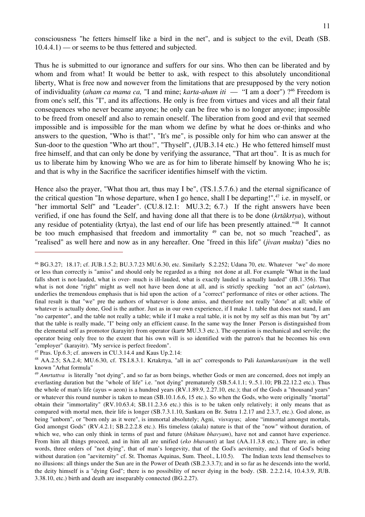consciousness "he fetters himself like a bird in the net", and is subject to the evil, Death (SB. 10.4.4.1) — or seems to be thus fettered and subjected.

Thus he is submitted to our ignorance and suffers for our sins. Who then can be liberated and by whom and from what! It would be better to ask, with respect to this absolutely unconditional liberty, What is free now and nowever from the limitations that are presupposed by the very notion of individuality (*aham ca mama ca,* "I and mine; *karta-aham iti* — "I am a doer") ?46 Freedom is from one's self, this "I", and its affections. He only is free from virtues and vices and all their fatal consequences who never became anyone; he only can be free who is no longer anyone; impossible to be freed from oneself and also to remain oneself. The liberation from good and evil that seemed impossible and is impossible for the man whom we define by what he does or-thinks and who answers to the question, "Who is that!", "It's me", is possible only for him who can answer at the Sun-door to the question "Who art thou!", "Thyself", (JUB.3.14 etc.) He who fettered himself must free himself, and that can only be done by verifying the assurance, "That art thou". It is as much for us to liberate him by knowing Who we are as for him to liberate himself by knowing Who he is; and that is why in the Sacrifice the sacrificer identifies himself with the victim.

Hence also the prayer, "What thou art, thus may I be", (TS.1.5.7.6.) and the eternal significance of the critical question "In whose departure, when I go hence, shall I be departing!", $47$  i.e. in myself, or "her immortal Self" and "Leader". (CU.8.12.1: MU.3.2; 6.7.) If the right answers have been verified, if one has found the Self, and having done all that there is to be done (*krtākrtya*), without any residue of potentiality (krtya), the last end of our life has been presently attained."48 It cannot be too much emphasised that freedom and immortality <sup>49</sup> can be, not so much "reached", as "realised" as well here and now as in any hereafter. One "freed in this life" (*jivan mukta*) "dies no

<sup>46</sup> BG.3.27; 18.17; cf. JUB.1.5.2; BU.3.7.23 MU.6.30, etc. Similarly S.2.252; Udana 70, etc. Whatever "we" do more or less than correctly is "amiss" and should only be regarded as a thing not done at all. For example "What in the laud falls short is not-lauded, what is over- much is ill-lauded, what is exactly lauded is actually lauded" (JB.1.356). That what is not done "right" might as well not have been done at all, and is strictly specking "not an act" (*akrtam*), underlies the tremendous emphasis that is hid upon the action of a "correct" performance of rites or other actions. The final result is that "we" pre the authors of whatever is done amiss, and therefore not really "done" at all; while of whatever is actually done, God is the author. Just as in our own experience, if I make 1. table that does not stand, I am "no carpenter", and the table not really a table; while if I make a real table, it is not by my self as this man but "by art" that the table is really made, "I" being only an efficient cause. In the same way the Inner Person is distinguished from the elemental self as promotor (karayitr) from operator (kartr MU.3.3 etc.). The operation is mechanical and servile; the operator being only free to the extent that his own will is so identified with the patron's that he becomes his own "employer" (karayitr). "My service is perfect freedom".

 $47$  Pras. Up.6.3; cf. answers in CU.3.14.4 and Kaus Up.2.14:

<sup>48</sup> AA.2.5; SA.2.4; MU.6.30, cf. TS.I.8.3.1. Krtakrtya, "all in act" corresponds to Pali *katamkaraniyam* in the well known "Arhat formula"

<sup>&</sup>lt;sup>49</sup> Amrtattva is literally "not dying", and so far as born beings, whether Gods or men are concerned, does not imply an everlasting duration but the "whole of life" i.e. "not dying" prematurely (SB.5.4.1.1; 9..5.1.10; PB.22.12.2 etc.). Thus the whole of man's life (ayus = aeon) is a hundred years  $(RV.1.89.9, 2.27.10,$  etc.); that of the Gods a "thousand years" or whatever this round number is taken to mean (SB.10.1.6.6, 15 etc.). So when the Gods, who were originally "mortal" obtain their "immortality" (RV.10.63.4; SB.11.2.3.6 etc.) this is to be taken only relatively; it only means that as compared with mortal men, their life is longer (SB.7.3.1.10, Sankara on Br. Sutra 1.2.17 and 2.3.7, etc.). God alone, as being "unborn", or "born only as it were", is immortal absolutely; Agni, visvayus; alone "immortal amongst mortals, God amongst Gods" (RV.4.2.1; SB.2.2.2.8 etc.). His timeless (akala) nature is that of the "now" without duration, of which we, who can only think in terms of past and future (*bhūtam bhavyam*), have not and cannot have experience. From him all things proceed, and in him all are unified (*eko bhavanti*) at last (AA.11.3.8 etc.). There are, in other words, three orders of "not dying", that of man's longevity, that of the God's aeviternity, and that of God's being without duration (on "aeviternity" cf. St. Thomas Aquinas, Sum. Theol., L10.5). The Indian texts lend themselves to no illusions: all things under the Sun are in the Power of Death (SB.2.3.3.7); and in so far as he descends into the world, the deity himself is a "dying God"; there is no possibility of never dying in the body. (SB. 2.2.2.14, 10.4.3.9, JUB. 3.38.10, etc.) birth and death are inseparably connected (BG.2.27).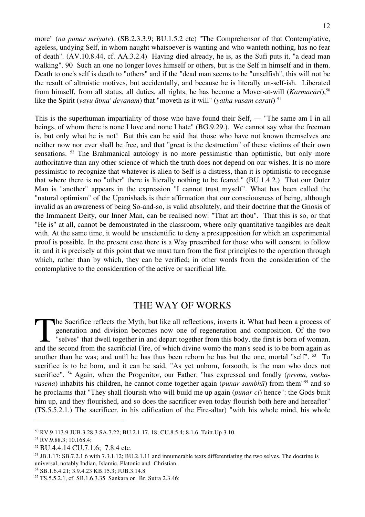more" (*na punar mriyate*). (SB.2.3.3.9; BU.1.5.2 etc) "The Comprehensor of that Contemplative, ageless, undying Self, in whom naught whatsoever is wanting and who wanteth nothing, has no fear of death". (AV.10.8.44, cf. AA.3.2.4) Having died already, he is, as the Sufi puts it, "a dead man walking". 90 Such an one no longer loves himself or others, but is the Self in himself and in them. Death to one's self is death to "others" and if the "dead man seems to be "unselfish", this will not be the result of altruistic motives, but accidentally, and because he is literally un-self-ish. Liberated from himself, from all status, all duties, all rights, he has become a Mover-at-will (*Karmacāri*),50 like the Spirit (*vayu ātma' devanam*) that "moveth as it will" (*yatha vasam carati*) 51

This is the superhuman impartiality of those who have found their Self, — "The same am I in all beings, of whom there is none I love and none I hate" (BG.9.29.). We cannot say what the freeman is, but only what he is not! But this can be said that those who have not known themselves are neither now nor ever shall be free, and that "great is the destruction" of these victims of their own sensations. <sup>52</sup> The Brahmanical autology is no more pessimistic than optimistic, but only more authoritative than any other science of which the truth does not depend on our wishes. It is no more pessimistic to recognize that whatever is alien to Self is a distress, than it is optimistic to recognise that where there is no "other" there is literally nothing to be feared." (BU.1.4.2.) That our Outer Man is "another" appears in the expression "I cannot trust myself". What has been called the "natural optimism" of the Upanishads is their affirmation that our consciousness of being, although invalid as an awareness of being So-and-so, is valid absolutely, and their doctrine that the Gnosis of the Immanent Deity, our Inner Man, can be realised now: "That art thou". That this is so, or that "He is" at all, cannot be demonstrated in the classroom, where only quantitative tangibles are dealt with. At the same time, it would be unscientific to deny a presupposition for which an experimental proof is possible. In the present case there is a Way prescribed for those who will consent to follow it: and it is precisely at this point that we must turn from the first principles to the operation through which, rather than by which, they can be verified; in other words from the consideration of the contemplative to the consideration of the active or sacrificial life.

# THE WAY OF WORKS

he Sacrifice reflects the Myth; but like all reflections, inverts it. What had been a process of generation and division becomes now one of regeneration and composition. Of the two "selves" that dwell together in and depart together from this body, the first is born of woman, The Sacrifice reflects the Myth; but like all reflections, inverts it. What had been a process of generation and division becomes now one of regeneration and composition. Of the two "selves" that dwell together in and depa another than he was; and until he has thus been reborn he has but the one, mortal "self". 53 To sacrifice is to be born, and it can be said, "As yet unborn, forsooth, is the man who does not sacrifice". 54 Again, when the Progenitor, our Father, "has expressed and fondly (*prema, snehavasena*) inhabits his children, he cannot come together again (*punar sambhū*) from them"55 and so he proclaims that "They shall flourish who will build me up again (*punar ci*) hence": the Gods built him up, and they flourished, and so does the sacrificer even today flourish both here and hereafter" (TS.5.5.2.1.) The sacrificer, in his edification of the Fire-altar) "with his whole mind, his whole

<sup>50</sup> RV.9.113.9 JUB.3.28.3 SA.7.22; BU.2.1.17, 18; CU.8.5.4; 8.1.6. Taitt.Up 3.10.

<sup>51</sup> RV.9.88.3; 10.168.4;

<sup>52</sup> BU.4.4.14 CU.7.1.6; 7.8.4 etc.

<sup>53</sup> JB.1.17: SB.7.2.1.6 with 7.3.1.12; BU.2.1.11 and innumerable texts differentiating the two selves. The doctrine is universal, notably Indian, Islamic, Platonic and Christian.

<sup>54</sup> SB.1.6.4.21; 3.9.4.23 KB.15.3; JUB.3.14.8

<sup>55</sup> TS.5.5.2.1, cf. SB.1.6.3.35 Sankara on Br. Sutra 2.3.46: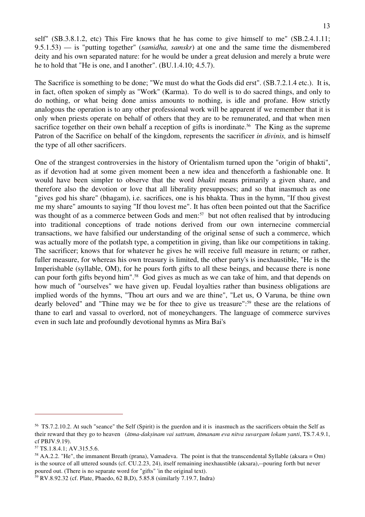self" (SB.3.8.1.2, etc) This Fire knows that he has come to give himself to me" (SB.2.4.1.11; 9.5.1.53) — is "putting together" (*samidha, samskr*) at one and the same time the dismembered deity and his own separated nature: for he would be under a great delusion and merely a brute were he to hold that "He is one, and I another". (BU.1.4.10; 4.5.7).

The Sacrifice is something to be done; "We must do what the Gods did erst". (SB.7.2.1.4 etc.). It is, in fact, often spoken of simply as "Work" (Karma). To do well is to do sacred things, and only to do nothing, or what being done amiss amounts to nothing, is idle and profane. How strictly analogous the operation is to any other professional work will be apparent if we remember that it is only when priests operate on behalf of others that they are to be remunerated, and that when men sacrifice together on their own behalf a reception of gifts is inordinate.<sup>56</sup> The King as the supreme Patron of the Sacrifice on behalf of the kingdom, represents the sacrificer *in divinis,* and is himself the type of all other sacrificers.

One of the strangest controversies in the history of Orientalism turned upon the "origin of bhakti", as if devotion had at some given moment been a new idea and thenceforth a fashionable one. It would have been simpler to observe that the word *bhakti* means primarily a given share, and therefore also the devotion or love that all liberality presupposes; and so that inasmuch as one "gives god his share" (bhagam), i.e. sacrifices, one is his bhakta. Thus in the hymn, "If thou givest me my share" amounts to saying "If thou lovest me". It has often been pointed out that the Sacrifice was thought of as a commerce between Gods and men:<sup>57</sup> but not often realised that by introducing into traditional conceptions of trade notions derived from our own internecine commercial transactions, we have falsified our understanding of the original sense of such a commerce, which was actually more of the potlatsh type, a competition in giving, than like our competitions in taking. The sacrificer; knows that for whatever he gives he will receive full measure in return; or rather, fuller measure, for whereas his own treasury is limited, the other party's is inexhaustible, "He is the Imperishable (syllable, OM), for he pours forth gifts to all these beings, and because there is none can pour forth gifts beyond him".58 God gives as much as we can take of him, and that depends on how much of "ourselves" we have given up. Feudal loyalties rather than business obligations are implied words of the hymns, "Thou art ours and we are thine", "Let us, O Varuna, be thine own dearly beloved" and "Thine may we be for thee to give us treasure":59 these are the relations of thane to earl and vassal to overlord, not of moneychangers. The language of commerce survives even in such late and profoundly devotional hymns as Mira Bai's

 $\overline{\phantom{a}}$ 

 $58$  AA.2.2. "He", the immanent Breath (prana), Vamadeva. The point is that the transcendental Syllable (aksara = Om) is the source of all uttered sounds (cf. CU.2.23, 24), itself remaining inexhaustible (aksara),--pouring forth but never poured out. (There is no separate word for "gifts" 'in the original text).

<sup>56</sup> TS.7.2.10.2. At such "seance" the Self (Spirit) is the guerdon and it is inasmuch as the sacrificers obtain the Self as their reward that they go to heaven (*ātma-dakṣinam vai sattram, ātmanam eva nitva suvargam lokam yanti*, TS.7.4.9.1, cf PBJV.9.19).<br><sup>57</sup> TS.1.8.4.1; AV.315.5.6.

<sup>59</sup> RV.8.92.32 (cf. Plate, Phaedo, 62 B,D), 5.85.8 (similarly 7.19.7, Indra)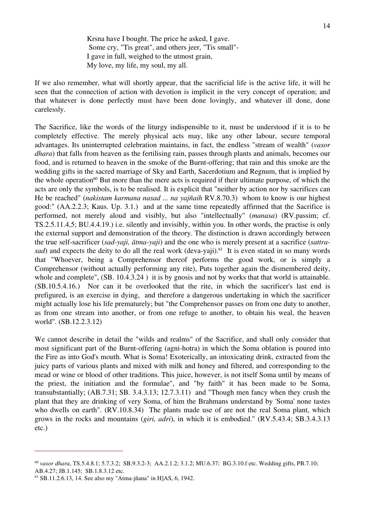Krsna have I bought. The price he asked, I gave. Some cry, "Tis great", and others jeer, "Tis small"- I gave in full, weighed to the utmost grain, My love, my life, my soul, my all.

If we also remember, what will shortly appear, that the sacrificial life is the active life, it will be seen that the connection of action with devotion is implicit in the very concept of operation; and that whatever is done perfectly must have been done lovingly, and whatever ill done, done carelessly.

The Sacrifice, like the words of the liturgy indispensible to it, must be understood if it is to be completely effective. The merely physical acts may, like any other labour, secure temporal advantages. Its uninterrupted celebration maintains, in fact, the endless "stream of wealth" (*vasor dhara*) that falls from heaven as the fertilising rain, passes through plants and animals, becomes our food, and is returned to heaven in the smoke of the Burnt-offering; that rain and this smoke are the wedding gifts in the sacred marriage of Sky and Earth, Sacerdotium and Regnum, that is implied by the whole operation<sup>60</sup> But more than the mere acts is required if their ultimate purpose, of which the acts are only the symbols, is to be realised. It is explicit that "neither by action nor by sacrifices can He be reached" (*nakistam karmana nasad ... na yajñaih* RV.8.70.3) whom to know is our highest good:" (AA.2.2.3; Kaus. Up. 3.1.) and at the same time repeatedly affirmed that the Sacrifice is performed, not merely aloud and visibly, but also "intellectually" (*manasa*) (RV.passim; cf. TS.2.5.11.4,5; BU.4.4.19.) i.e. silently and invisibly, within you. In other words, the practise is only the external support and demonstration of the theory. The distinction is drawn accordingly between the true self-sacrificer (*sad-yaji, ātma-yaji*) and the one who is merely present at a sacrifice (*sattrasad*) and expects the deity to do all the real work (deva-yaji).<sup>61</sup> It is even stated in so many words that "Whoever, being a Comprehensor thereof performs the good work, or is simply a Comprehensor (without actually performing any rite), Puts together again the dismembered deity, whole and complete",  $(SB. 10.4.3.24)$  it is by gnosis and not by works that that world is attainable. (SB.10.5.4.16.) Nor can it be overlooked that the rite, in which the sacrificer's last end is prefigured, is an exercise in dying, and therefore a dangerous undertaking in which the sacrificer might actually lose his life prematurely; but "the Comprehensor passes on from one duty to another, as from one stream into another, or from one refuge to another, to obtain his weal, the heaven world". (SB.12.2.3.12)

We cannot describe in detail the "wilds and realms" of the Sacrifice, and shall only consider that most significant part of the Burnt-offering (agni-hotra) in which the Soma oblation is poured into the Fire as into God's mouth. What is Soma! Exoterically, an intoxicating drink, extracted from the juicy parts of various plants and mixed with milk and honey and filtered, and corresponding to the mead or wine or blood of other traditions. This juice, however, is not itself Soma until by means of the priest, the initiation and the formulae", and "by faith" it has been made to be Soma, transubstantially; (AB.7.31; SB. 3.4.3.13; 12.7.3.11) and "Though men fancy when they crush the plant that they are drinking of very Soma, of him the Brahmans understand by 'Soma' none tastes who dwells on earth". (RV.10.8.34) The plants made use of are not the real Soma plant, which grows in the rocks and mountains (*giri, adri*), in which it is embodied." (RV.5.43.4; SB.3.4.3.13 etc.)

<sup>60</sup> *vasor dhara*, TS.5.4.8.1; 5.7.3.2; SB.9.3.2-3; AA.2.1.2; 3.1.2; MU.6.37; BG.3.10.f etc. Wedding gifts, PB.7.10; AB.4.27; JB.1.145; SB.1.8.3.12 etc.

<sup>61</sup> SB.11.2.6.13, 14. See also my "Atma-jñana" in H]AS, 6, 1942.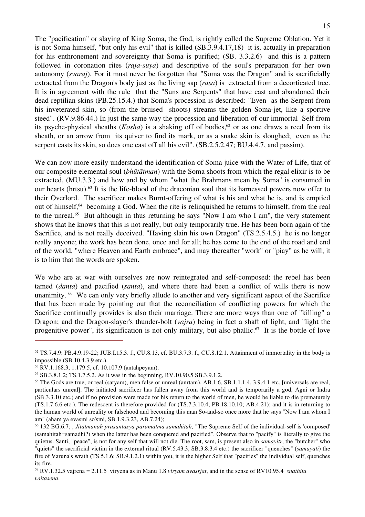The "pacification" or slaying of King Soma, the God, is rightly called the Supreme Oblation. Yet it is not Soma himself, "but only his evil" that is killed (SB.3.9.4.17,18) it is, actually in preparation for his enthronement and sovereignty that Soma is purified; (SB. 3.3.2.6) and this is a pattern followed in coronation rites (*raja-suya*) and descriptive of the soul's preparation for her own autonomy (*svaraj*). For it must never be forgotten that "Soma was the Dragon" and is sacrificially extracted from the Dragon's body just as the living sap (*rasa*) is extracted from a decorticated tree. It is in agreement with the rule that the "Suns are Serpents" that have cast and abandoned their dead reptilian skins (PB.25.15.4.) that Soma's procession is described: "Even as the Serpent from his inveterated skin, so (from the bruised shoots) streams the golden Soma-jet, like a sportive steed". (RV.9.86.44.) In just the same way the procession and liberation of our immortal Self from its psyche-physical sheaths ( $Kosha$ ) is a shaking off of bodies,<sup>62</sup> or as one draws a reed from its sheath, or an arrow from its quiver to find its mark, or as a snake skin is sloughed; even as the serpent casts its skin, so does one cast off all his evil". (SB.2.5.2.47; BU.4.4.7, and passim).

We can now more easily understand the identification of Soma juice with the Water of Life, that of our composite elemental soul (*bhūtātman*) with the Soma shoots from which the regal elixir is to be extracted, (MU.3.3.) and how and by whom "what the Brahmans mean by Soma" is consumed in our hearts (hrtsu).<sup>63</sup> It is the life-blood of the draconian soul that its harnessed powers now offer to their Overlord. The sacrificer makes Burnt-offering of what is his and what he is, and is emptied out of himself,64 becoming a God. When the rite is relinquished he returns to himself, from the real to the unreal.<sup>65</sup> But although in thus returning he says "Now I am who I am", the very statement shows that he knows that this is not really, but only temporarily true. He has been born again of the Sacrifice, and is not really deceived. "Having slain his own Dragon" (TS.2.5.4.5.) he is no longer really anyone; the work has been done, once and for all; he has come to the end of the road and end of the world, "where Heaven and Earth embrace", and may thereafter "work" or "piay" as he will; it is to him that the words are spoken.

We who are at war with ourselves are now reintegrated and self-composed: the rebel has been tamed (*danta*) and pacified (*santa*), and where there had been a conflict of wills there is now unanimity. <sup>66</sup> We can only very briefly allude to another and very significant aspect of the Sacrifice that has been made by pointing out that the reconciliation of conflicting powers for which the Sacrifice continually provides is also their marriage. There are more ways than one of "killing" a Dragon; and the Dragon-slayer's thunder-bolt (*vajra*) being in fact a shaft of light, and "light the progenitive power", its signification is not only military, but also phallic.<sup>67</sup> It is the bottle of love

 $62$  TS.7.4.9; PB.4.9.19-22; JUB.I.15.3. f., CU.8.13, cf. BU.3.7.3. f., CU.8.12.1. Attainment of immortality in the body is impossible (SB.10.4.3.9 etc.).

<sup>63</sup> RV.1.168.3, 1.179.5, cf. 10.107.9 (antahpeyam).

<sup>64</sup> SB.3.8.1.2; TS.1.7.5.2. As it was in the beginning, RV.10.90.5 SB.3.9.1.2.

<sup>65</sup> The Gods are true, or real (satyam), men false or unreal (anrtam), AB.1.6, SB.1.1.1.4, 3.9.4.1 etc. [universals are real, particulars unreal]. The initiated sacrificer has fallen away from this world and is temporarily a god, Agni or Indra (SB.3.3.10 etc.) and if no provision were made for his return to the world of men, he would be liable to die prematurely (TS.1.7.6.6 etc.). The redescent is therefore provided for (TS.7.3.10.4; PB.18.10.10; AB.4.21); and it is in returning to the human world of unreality or falsehood and becoming this man So-and-so once more that he says "Now I am whom I<br>am" (aham ya evasmi so'smi, SB.1.9.3.23, AB.7.24);

am" (aham ya evasmi so'smi, SB.1.9.3.23, AB.7.24); 66 132 BG.6.7; , *Jitātmanah prasantasya paramātma samahitah,* "The Supreme Self of the individual-self is 'composed' (samahitah=samadhi?) when the latter has been conquered and pacified". Observe that to "pacify" is literally to give the quietus. Santi, "peace", is not for any self that will not die. The root, sam, is present also in *samayitr*, the "butcher" who "quiets" the sacrificial victim in the external ritual (RV.5.43.3, SB.3.8.3.4 etc.) the sacrificer "quenches" (*samayati*) the fire of Varuna's wrath (TS.5.1.6; SB.9.1.2.1) within you, it is the higher Self that "pacifies" the individual self, quenches its fire.

<sup>67</sup> RV.1.32.5 vajrena = 2.11.5 viryena as in Manu 1.8 *viryam avasrjat*, and in the sense of RV10.95.4 *snathita vaitasena*.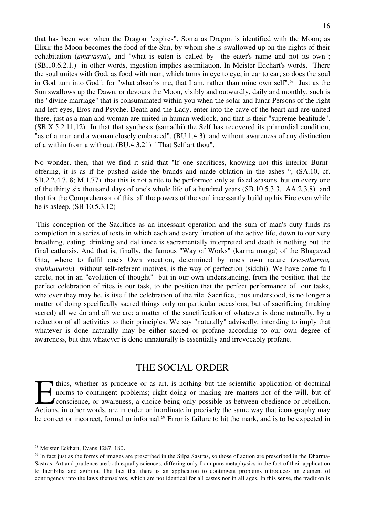that has been won when the Dragon "expires". Soma as Dragon is identified with the Moon; as Elixir the Moon becomes the food of the Sun, by whom she is swallowed up on the nights of their cohabitation (*amavasya*), and "what is eaten is called by the eater's name and not its own"; (SB.10.6.2.1.) in other words, ingestion implies assimilation. In Meister Edchart's words, "There the soul unites with God, as food with man, which turns in eye to eye, in ear to ear; so does the soul in God turn into God"; for "what absorbs me, that I am, rather than mine own self".<sup>68</sup> Just as the Sun swallows up the Dawn, or devours the Moon, visibly and outwardly, daily and monthly, such is the "divine marriage" that is consummated within you when the solar and lunar Persons of the right and left eyes, Eros and Psyche, Death and the Lady, enter into the cave of the heart and are united there, just as a man and woman are united in human wedlock, and that is their "supreme beatitude". (SB.X.5.2.11,12) In that that synthesis (samadhi) the Self has recovered its primordial condition, "as of a man and a woman closely embraced", (BU.1.4.3) and without awareness of any distinction of a within from a without. (BU.4.3.21) "That Self art thou".

No wonder, then, that we find it said that "If one sacrifices, knowing not this interior Burntoffering, it is as if he pushed aside the brands and made oblation in the ashes ", (SA.10, cf. SB.2.2.4.7, 8; M.1.77) that this is not a rite to be performed only at fixed seasons, but on every one of the thirty six thousand days of one's whole life of a hundred years (SB.10.5.3.3, AA.2.3.8) and that for the Comprehensor of this, all the powers of the soul incessantly build up his Fire even while he is asleep. (SB 10.5.3.12)

 This conception of the Sacrifice as an incessant operation and the sum of man's duty finds its completion in a series of texts in which each and every function of the active life, down to our very breathing, eating, drinking and dalliance is sacramentally interpreted and death is nothing but the final catharsis. And that is, finally, the famous "Way of Works" (karma marga) of the Bhagavad Gita, where to fulfil one's Own vocation, determined by one's own nature (*sva-dharma, svabhavatah*) without self-referent motives, is the way of perfection (siddhi). We have come full circle, not in an "evolution of thought" but in our own understanding, from the position that the perfect celebration of rites is our task, to the position that the perfect performance of our tasks, whatever they may be, is itself the celebration of the rile. Sacrifice, thus understood, is no longer a matter of doing specifically sacred things only on particular occasions, but of sacrificing (making sacred) all we do and all we are; a matter of the sanctification of whatever is done naturally, by a reduction of all activities to their principles. We say "naturally" advisedly, intending to imply that whatever is done naturally may be either sacred or profane according to our own degree of awareness, but that whatever is done unnaturally is essentially and irrevocably profane.

# THE SOCIAL ORDER

Thics, whether as prudence or as art, is nothing but the scientific application of doctrinal norms to contingent problems; right doing or making are matters not of the will, but of **Z** conscience, or awareness, a choice being only possible as between obedience or rebellion. Thics, whether as prudence or as art, is nothing but the scientific application of doctrinal norms to contingent problems; right doing or making are matters not of the will, but of conscience, or awareness, a choice being be correct or incorrect, formal or informal.<sup>69</sup> Error is failure to hit the mark, and is to be expected in

<sup>68</sup> Meister Eckhart, Evans 1287, 180.

<sup>&</sup>lt;sup>69</sup> In fact just as the forms of images are prescribed in the Silpa Sastras, so those of action are prescribed in the Dharma-Sastras. Art and prudence are both equally sciences, differing only from pure metaphysics in the fact of their application to facribilia and agibilia. The fact that there is an application to contingent problems introduces an element of contingency into the laws themselves, which are not identical for all castes nor in all ages. In this sense, the tradition is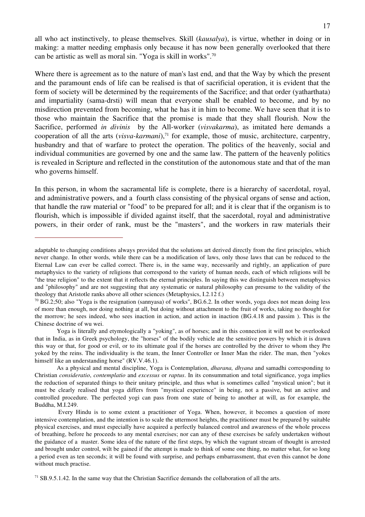all who act instinctively, to please themselves. Skill (*kausalya*), is virtue, whether in doing or in making: a matter needing emphasis only because it has now been generally overlooked that there can be artistic as well as moral sin. "Yoga is skill in works".70

Where there is agreement as to the nature of man's last end, and that the Way by which the present and the paramount ends of life can be realised is that of sacrificial operation, it is evident that the form of society will be determined by the requirements of the Sacrifice; and that order (yatharthata) and impartiality (sama-drsti) will mean that everyone shall be enabled to become, and by no misdirection prevented from becoming, what he has it in him to become. We have seen that it is to those who maintain the Sacrifice that the promise is made that they shall flourish. Now the Sacrifice, performed *in divinis* by the All-worker (*visvakarma*), as imitated here demands a cooperation of all the arts (*visva-karmani*),<sup>71</sup> for example, those of music, architecture, carpentry, husbandry and that of warfare to protect the operation. The politics of the heavenly, social and individual communities are governed by one and the same law. The pattern of the heavenly politics is revealed in Scripture and reflected in the constitution of the autonomous state and that of the man who governs himself.

In this person, in whom the sacramental life is complete, there is a hierarchy of sacerdotal, royal, and administrative powers, and a fourth class consisting of the physical organs of sense and action, that handle the raw material or "food" to be prepared for all; and it is clear that if the organism is to flourish, which is impossible if divided against itself, that the sacerdotal, royal and administrative powers, in their order of rank, must be the "masters", and the workers in raw materials their

adaptable to changing conditions always provided that the solutions art derived directly from the first principles, which never change. In other words, while there can be a modification of laws, only those laws that can be reduced to the Eternal Law can ever be called correct. There is, in the same way, necessarily and rightly, an application of pure metaphysics to the variety of religions that correspond to the variety of human needs, each of which religions will be "the true religion" to the extent that it reflects the eternal principles. In saying this we distinguish between metaphysics and "philosophy" and are not suggesting that any systematic or natural philosophy can presume to the validity of the theology that Aristotle ranks above all other sciences (Metaphysics, I.2.12 f.)

 $70$  BG.2;50; also "Yoga is the resignation (sannyasa) of works", BG.6.2. In other words, yoga does not mean doing less of more than enough, nor doing nothing at all, but doing without attachment to the fruit of works, taking no thought for the morrow; he sees indeed, who sees inaction in action, and action in inaction (BG.4.18 and passim ). This is the Chinese doctrine of wu wei.

Yoga is literally and etymologically a "yoking", as of horses; and in this connection it will not be overlooked that in India, as in Greek psychology, the "horses" of the bodily vehicle ate the sensitive powers by which it is drawn this way or that, for good or evil, or to its ultimate goal if the horses are controlled by the driver to whom they Pre yoked by the reins. The individuality is the team, the Inner Controller or Inner Man the rider. The man, then "yokes himself like an understanding horse" (RV.V.46.1).

As a physical and mental discipline, Yoga is Contemplation, *dharana, dhyana* and samadhi corresponding to Christian *consideratio*, *contemplatio* and *excessus* or *raptus*. In its consummation and total significance, yoga implies the reduction of separated things to their unitary principle, and thus what is sometimes called "mystical union"; but it must be clearly realised that yoga differs from "mystical experience" in being, not a passive, but an active and controlled procedure. The perfected yogi can pass from one state of being to another at will, as for example, the Buddha, M.I.249.

Every Hindu is to some extent a practitioner of Yoga. When, however, it becomes a question of more intensive contemplation, and the intention is to scale the uttermost heights, the practitioner must be prepared by suitable physical exercises, and must especially have acquired a perfectly balanced control and awareness of the whole process of breathing, before he proceeds to any mental exercises; nor can any of these exercises be safely undertaken without the guidance of a master. Some idea of the nature of the first steps, by which the vagrant stream of thought is arrested and brought under control, wilt be gained if the attempt is made to think of some one thing, no matter what, for so long a period even as ten seconds; it will be found with surprise, and perhaps embarrassment, that even this cannot be done without much practise.

 $71$  SB.9.5.1.42. In the same way that the Christian Sacrifice demands the collaboration of all the arts.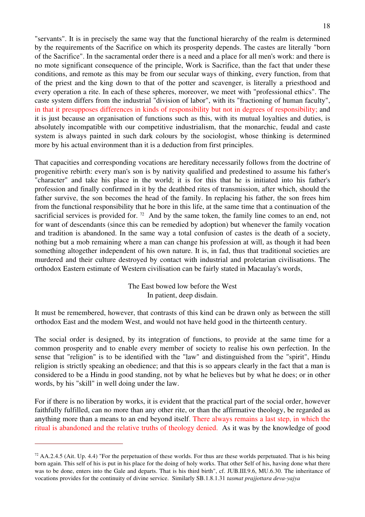"servants". It is in precisely the same way that the functional hierarchy of the realm is determined by the requirements of the Sacrifice on which its prosperity depends. The castes are literally "born of the Sacrifice". In the sacramental order there is a need and a place for all men's work: and there is no mote significant consequence of the principle, Work is Sacrifice, than the fact that under these conditions, and remote as this may be from our secular ways of thinking, every function, from that of the priest and the king down to that of the potter and scavenger, is literally a priesthood and every operation a rite. In each of these spheres, moreover, we meet with "professional ethics". The caste system differs from the industrial "division of labor", with its "fractioning of human faculty", in that it presupposes differences in kinds of responsibility but not in degrees of responsibility; and it is just because an organisation of functions such as this, with its mutual loyalties and duties, is absolutely incompatible with our competitive industrialism, that the monarchic, feudal and caste system is always painted in such dark colours by the sociologist, whose thinking is determined more by his actual environment than it is a deduction from first principles.

That capacities and corresponding vocations are hereditary necessarily follows from the doctrine of progenitive rebirth: every man's son is by nativity qualified and predestined to assume his father's "character" and take his place in the world; it is for this that he is initiated into his father's profession and finally confirmed in it by the deathbed rites of transmission, after which, should the father survive, the son becomes the head of the family. In replacing his father, the son frees him from the functional responsibility that he bore in this life, at the same time that a continuation of the sacrificial services is provided for.  $\frac{72}{2}$  And by the same token, the family line comes to an end, not for want of descendants (since this can be remedied by adoption) but whenever the family vocation and tradition is abandoned. In the same way a total confusion of castes is the death of a society, nothing but a mob remaining where a man can change his profession at will, as though it had been something altogether independent of his own nature. It is, in fad, thus that traditional societies are murdered and their culture destroyed by contact with industrial and proletarian civilisations. The orthodox Eastern estimate of Western civilisation can be fairly stated in Macaulay's words,

> The East bowed low before the West In patient, deep disdain.

It must be remembered, however, that contrasts of this kind can be drawn only as between the still orthodox East and the modem West, and would not have held good in the thirteenth century.

The social order is designed, by its integration of functions, to provide at the same time for a common prosperity and to enable every member of society to realise his own perfection. In the sense that "religion" is to be identified with the "law" and distinguished from the "spirit", Hindu religion is strictly speaking an obedience; and that this is so appears clearly in the fact that a man is considered to be a Hindu in good standing, not by what he believes but by what he does; or in other words, by his "skill" in well doing under the law.

For if there is no liberation by works, it is evident that the practical part of the social order, however faithfully fulfilled, can no more than any other rite, or than the affirmative theology, be regarded as anything more than a means to an end beyond itself. There always remains a last step, in which the ritual is abandoned and the relative truths of theology denied. As it was by the knowledge of good

 $72$  AA.2.4.5 (Ait. Up. 4.4) "For the perpetuation of these worlds. For thus are these worlds perpetuated. That is his being born again. This self of his is put in his place for the doing of holy works. That other Self of his, having done what there was to be done, enters into the Gale and departs. That is his third birth", cf. JUB.III.9.6, MU.6.30. The inheritance of vocations provides for the continuity of divine service. Similarly SB.1.8.1.31 *tasmat prajjottara deva-yajya*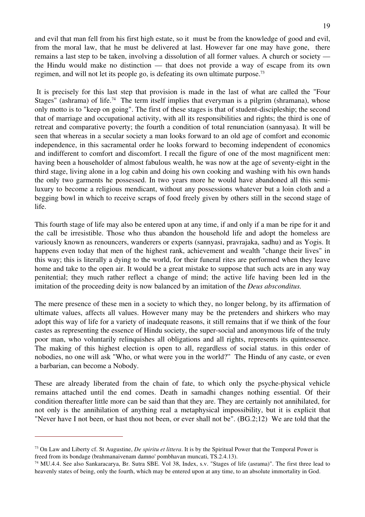and evil that man fell from his first high estate, so it must be from the knowledge of good and evil, from the moral law, that he must be delivered at last. However far one may have gone, there remains a last step to be taken, involving a dissolution of all former values. A church or society the Hindu would make no distinction — that does not provide a way of escape from its own regimen, and will not let its people go, is defeating its own ultimate purpose.<sup>73</sup>

 It is precisely for this last step that provision is made in the last of what are called the "Four Stages" (ashrama) of life.<sup>74</sup> The term itself implies that everyman is a pilgrim (shramana), whose only motto is to "keep on going". The first of these stages is that of student-discipleship; the second that of marriage and occupational activity, with all its responsibilities and rights; the third is one of retreat and comparative poverty; the fourth a condition of total renunciation (sannyasa). It will be seen that whereas in a secular society a man looks forward to an old age of comfort and economic independence, in this sacramental order he looks forward to becoming independent of economics and indifferent to comfort and discomfort. I recall the figure of one of the most magnificent men: having been a householder of almost fabulous wealth, he was now at the age of seventy-eight in the third stage, living alone in a log cabin and doing his own cooking and washing with his own hands the only two garments he possessed. In two years more he would have abandoned all this semiluxury to become a religious mendicant, without any possessions whatever but a loin cloth and a begging bowl in which to receive scraps of food freely given by others still in the second stage of life.

This fourth stage of life may also be entered upon at any time, if and only if a man be ripe for it and the call be irresistible. Those who thus abandon the household life and adopt the homeless are variously known as renouncers, wanderers or experts (sannyasi, pravrajaka, sadhu) and as Yogis. It happens even today that men of the highest rank, achievement and wealth "change their lives" in this way; this is literally a dying to the world, for their funeral rites are performed when they leave home and take to the open air. It would be a great mistake to suppose that such acts are in any way penitential; they much rather reflect a change of mind; the active life having been led in the imitation of the proceeding deity is now balanced by an imitation of the *Deus absconditus.*

The mere presence of these men in a society to which they, no longer belong, by its affirmation of ultimate values, affects all values. However many may be the pretenders and shirkers who may adopt this way of life for a variety of inadequate reasons, it still remains that if we think of the four castes as representing the essence of Hindu society, the super-social and anonymous life of the truly poor man, who voluntarily relinquishes all obligations and all rights, represents its quintessence. The making of this highest election is open to all, regardless of social status. in this order of nobodies, no one will ask "Who, or what were you in the world?" The Hindu of any caste, or even a barbarian, can become a Nobody.

These are already liberated from the chain of fate, to which only the psyche-physical vehicle remains attached until the end comes. Death in samadhi changes nothing essential. Of their condition thereafter little more can be said than that they are. They are certainly not annihilated, for not only is the annihilation of anything real a metaphysical impossibility, but it is explicit that "Never have I not been, or hast thou not been, or ever shall not be". (BG.2;12) We are told that the

<sup>73</sup> On Law and Liberty cf. St Augustine, *De spiritu et littera*. It is by the Spiritual Power that the Temporal Power is freed from its bondage (brahmanaivenam damno' pombhavan muncati, TS.2.4.13).

<sup>74</sup> MU.4.4. See also Sankaracarya, Br. Sutra SBE. Vol 38, Index, s.v. "Stages of life (asrama)". The first three lead to heavenly states of being, only the fourth, which may be entered upon at any time, to an absolute immortality in God.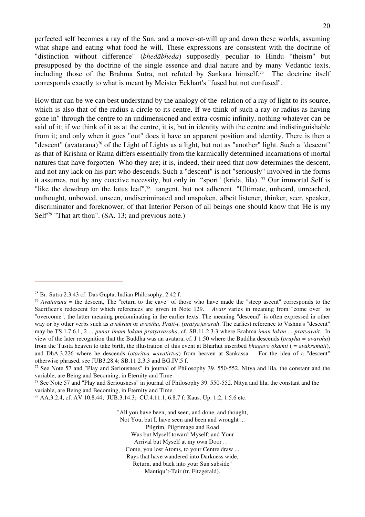perfected self becomes a ray of the Sun, and a mover-at-will up and down these worlds, assuming what shape and eating what food he will. These expressions are consistent with the doctrine of "distinction without difference" (*bhedābheda*) supposedly peculiar to Hindu "theism" but presupposed by the doctrine of the single essence and dual nature and by many Vedantic texts, including those of the Brahma Sutra, not refuted by Sankara himself. 75 The doctrine itself corresponds exactly to what is meant by Meister Eckhart's "fused but not confused".

How that can be we can best understand by the analogy of the relation of a ray of light to its source, which is also that of the radius a circle to its centre. If we think of such a ray or radius as having gone in" through the centre to an undimensioned and extra-cosmic infinity, nothing whatever can be said of it; if we think of it as at the centre, it is, but in identity with the centre and indistinguishable from it; and only when it goes "out" does it have an apparent position and identity. There is then a "descent" (avatarana)<sup>76</sup> of the Light of Lights as a light, but not as "another" light. Such a "descent" as that of Krishna or Rama differs essentially from the karmically determined incarnations of mortal natures that have forgotten Who they are; it is, indeed, their need that now determines the descent, and not any lack on his part who descends. Such a "descent" is not "seriously" involved in the forms it assumes, not by any coactive necessity, but only in "sport" (krida, lila).  $\frac{7}{7}$  Our immortal Self is "like the dewdrop on the lotus leaf",78 tangent, but not adherent. "Ultimate, unheard, unreached, unthought, unbowed, unseen, undiscriminated and unspoken, albeit listener, thinker, seer, speaker, discriminator and foreknower, of that Interior Person of all beings one should know that 'He is my Self<sup>79</sup> "That art thou". (SA. 13; and previous note.)

 $\overline{\phantom{a}}$   $\overline{\phantom{a}}$   $\overline{\phantom{a}}$   $\overline{\phantom{a}}$   $\overline{\phantom{a}}$   $\overline{\phantom{a}}$   $\overline{\phantom{a}}$   $\overline{\phantom{a}}$   $\overline{\phantom{a}}$   $\overline{\phantom{a}}$   $\overline{\phantom{a}}$   $\overline{\phantom{a}}$   $\overline{\phantom{a}}$   $\overline{\phantom{a}}$   $\overline{\phantom{a}}$   $\overline{\phantom{a}}$   $\overline{\phantom{a}}$   $\overline{\phantom{a}}$   $\overline{\$ 

"All you have been, and seen, and done, and thought, Not You, but I, have seen and been and wrought ... Pilgrim, Pilgrimage and Road Was but Myself toward Myself: and Your Arrival but Myself at my own Door . . . Come, you lost Atoms, to your Centre draw ... Rays that have wandered into Darkness wide, Return, and back into your Sun subside" Mantiqu't-Tair (tr. Fitzgerald).

<sup>75</sup> Br. Sutra 2.3.43 cf. Das Gupta, Indian Philosophy, 2.42 f.

<sup>76</sup> *Avatarana* = the descent, The "return to the cave" of those who have made the "steep ascent" corresponds to the Sacrificer's redescent for which references are given in Note 129. *Avatr* varies in meaning from "come over" to "overcome", the latter meaning predominating in the earlier texts. The meaning "descend" is often expressed in other way or by other verbs such as *avakram* or *avastha*, *Prati-i, (pratya)avaruh*. The earliest reference to Vishnu's "descent" may be TS.1.7.6.1, 2 ... *punar imam lokam pratyavaroha,* cf. SB.11.2.3.3 where Brahma *iman lokan ... pratyavait.* In view of the later recognition that the Buddha was an avatara, cf. J 1.50 where the Buddha descends (*oruyha = avaroha*) from the Tusita heaven to take birth, the illustration of this event at Bharhut inscribed *bhagavo okamti* (= *avakramati*), and DhA.3.226 where he descends (*otaritva* = *avatirtva*) from heaven at Sankassa. For the idea and DhA.3.226 where he descends *(otaritva =avatirtva)* from heaven at Sankassa. otherwise phrased, see JUB3.28.4; SB.11.2.3.3 and BG.IV.5 f.

<sup>77</sup> See Note 57 and "Play and Seriousness" in journal of Philosophy 39. 550-552. Nitya and lila, the constant and the variable, are Being and Becoming, in Eternity and Time.

<sup>78</sup> See Note 57 and "Play and Seriousness" in journal of Philosophy 39. 550-552. Nitya and lila, the constant and the variable, are Being and Becoming, in Eternity and Time.

<sup>79</sup> AA.3.2.4, cf. AV.10.8.44; JUB.3.14.3; CU.4.11.1, 6.8.7 f; Kaus. Up. 1:2, 1.5.6 etc.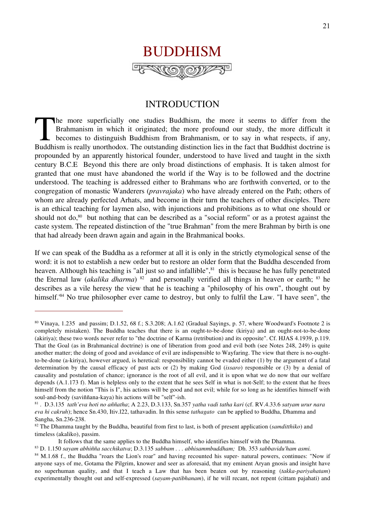

### INTRODUCTION

he more superficially one studies Buddhism, the more it seems to differ from the Brahmanism in which it originated; the more profound our study, the more difficult it becomes to distinguish Buddhism from Brahmanism, or to say in what respects, if any, The more superficially one studies Buddhism, the more it seems to differ from the Brahmanism in which it originated; the more profound our study, the more difficult it becomes to distinguish Buddhism from Brahmanism, or to propounded by an apparently historical founder, understood to have lived and taught in the sixth century B.C.E Beyond this there are only broad distinctions of emphasis. It is taken almost for granted that one must have abandoned the world if the Way is to be followed and the doctrine understood. The teaching is addressed either to Brahmans who are forthwith converted, or to the congregation of monastic Wanderers (*pravrajaka*) who have already entered on the Path; others of whom are already perfected Arhats, and become in their turn the teachers of other disciples. There is an ethical teaching for laymen also, with injunctions and prohibitions as to what one should or should not do, 80 but nothing that can be described as a "social reform" or as a protest against the caste system. The repeated distinction of the "true Brahman" from the mere Brahman by birth is one that had already been drawn again and again in the Brahmanical books.

If we can speak of the Buddha as a reformer at all it is only in the strictly etymological sense of the word: it is not to establish a new order but to restore an older form that the Buddha descended from heaven. Although his teaching is "all just so and infallible", 81 this is because he has fully penetrated the Eternal law (*akalika dharma*) 82 and personally verified all things in heaven or earth; 83 he describes as a vile heresy the view that he is teaching a "philosophy of his own", thought out by himself.<sup>84</sup> No true philosopher ever came to destroy, but only to fulfil the Law. "I have seen", the

<sup>80</sup> Vinaya, 1.235 and passim; D.1.52, 68 f.; S.3.208; A.1.62 (Gradual Sayings, p. 57, where Woodward's Footnote 2 is completely mistaken). The Buddha teaches that there is an ought-to-be-done (kiriya) and an ought-not-to-be-done (akiriya); these two words never refer to "the doctrine of Karma (retribution) and its opposite". Cf. HJAS 4.1939, p.119. That the Goal (as in Brahmanical doctrine) is one of liberation from good and evil both (see Notes 248, 249) is quite another matter; the doing of good and avoidance of evil are indispensible to Wayfaring. The view that there is no-oughtto-be-done (a-kiriya), however argued, is heretical: responsibility cannot be evaded either (1) by the argument of a fatal determination by the causal efficacy of past acts or (2) by making God (*issaro*) responsible or (3) by a denial of causality and postulation of chance; ignorance is the root of all evil, and it is upon what we do now that our welfare depends (A.1.173 f). Man is helpless only to the extent that he sees Self in what is not-Self; to the extent that he frees himself from the notion "This is I", his actions will be good and not evil; while for so long as he identifies himself with soul-and-body (saviññana-kaya) his actions will be "self"-ish.

<sup>81</sup> . D.3.135 *tath'eva hoti no aññatha*; A 2.23, D.3.133, Sn.357 *yatha vadi tatha kari* (cf. RV.4.33.6 *satyam urur nara eva hi cakruh*); hence Sn.430, Itiv.l22, tathavadin. In this sense *tathagato* can be applied to Buddha, Dhamma and Sangha, Sn.236-238.

<sup>82</sup> The Dhamma taught by the Buddha, beautiful from first to last, is both of present application (*samditthiko*) and timeless (akaliko), passim.

It follows that the same applies to the Buddha himself, who identifies himself with the Dhamma.

<sup>83</sup> D. 1.150 *sayam abhiñña sacchikatva*; D.3.135 *sabbam . . . abhisammbuddham;* Dh. 353 *sabbavidu'ham asmi.* 

<sup>&</sup>lt;sup>84</sup> M.1.68 f., the Buddha "roars the Lion's roar" and having recounted his super- natural powers, continues: "Now if anyone says of me, Gotama the Pilgrim, knower and seer as aforesaid, that my eminent Aryan gnosis and insight have no superhuman quality, and that I teach a Law that has been beaten out by reasoning (*takka-pariyahatam*) experimentally thought out and self-expressed (*sayam-patibhanam*), if he will recant, not repent (cittam pajahati) and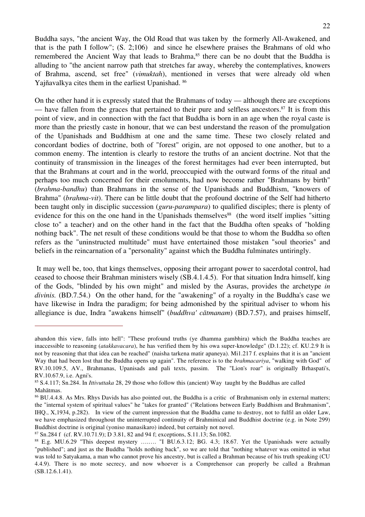Buddha says, "the ancient Way, the Old Road that was taken by the formerly All-Awakened, and that is the path I follow"; (S. 2;106) and since he elsewhere praises the Brahmans of old who remembered the Ancient Way that leads to Brahma, 85 there can be no doubt that the Buddha is alluding to "the ancient narrow path that stretches far away, whereby the contemplatives, knowers of Brahma, ascend, set free" (*vimuktah*), mentioned in verses that were already old when Yajñavalkya cites them in the earliest Upanishad. 86

On the other hand it is expressly stated that the Brahmans of today — although there are exceptions — have fallen from the graces that pertained to their pure and selfless ancestors.<sup>87</sup> It is from this point of view, and in connection with the fact that Buddha is born in an age when the royal caste is more than the priestly caste in honour, that we can best understand the reason of the promulgation of the Upanishads and Buddhism at one and the same time. These two closely related and concordant bodies of doctrine, both of "forest" origin, are not opposed to one another, but to a common enemy. The intention is clearly to restore the truths of an ancient doctrine. Not that the continuity of transmission in the lineages of the forest hermitages had ever been interrupted, but that the Brahmans at court and in the world, preoccupied with the outward forms of the ritual and perhaps too much concerned for their emoluments, had now become rather "Brahmans by birth" (*brahma*-*bandhu*) than Brahmans in the sense of the Upanishads and Buddhism, "knowers of Brahma" (*brahma-vit*). There can be little doubt that the profound doctrine of the Self had hitherto been taught only in disciplic succession (*guru*-*parampara*) to qualified disciples; there is plenty of evidence for this on the one hand in the Upanishads themselves<sup>88</sup> (the word itself implies "sitting close to" a teacher) and on the other hand in the fact that the Buddha often speaks of "holding nothing back". The net result of these conditions would be that those to whom the Buddha so often refers as the "uninstructed multitude" must have entertained those mistaken "soul theories" and beliefs in the reincarnation of a "personality" against which the Buddha fulminates untiringly.

 It may well be, too, that kings themselves, opposing their arrogant power to sacerdotal control, had ceased to choose their Brahman ministers wisely (SB.4.1.4.5). For that situation Indra himself, king of the Gods, "blinded by his own might" and misled by the Asuras, provides the archetype *in divinis.* (BD.7.54.) On the other hand, for the "awakening" of a royalty in the Buddha's case we have likewise in Indra the paradigm; for being admonished by the spiritual adviser to whom his allegiance is due, Indra "awakens himself" (*buddhva' cātmanam*) (BD.7.57), and praises himself,

abandon this view, falls into hell": "These profound truths (ye dhamma gambhira) which the Buddha teaches are inaccessible to reasoning (*atakkavacara*), he has verified them by his owa super-knowledge" (D.1.22); cf. KU.2.9 It is not by reasoning that that idea can be reached" (naisha tarkena matir apaneya). Mi1.217 f. explains that it is an "ancient Way that had been lost that the Buddha opens up again". The reference is to the *brahmacariya*, "walking with God" of RV.10.109.5, AV., Brahmanas, Upanisads and pali texts, passim. The "Lion's roar" is originally Brhaspati's, RV.10.67.9, i.e. Agni's.

<sup>85</sup> S.4.117; Sn.284. In *Ittivuttaka* 28, 29 those who follow this (ancient) Way taught by the Buddhas are called Mahātmas.

<sup>86</sup> BU.4.4.8. As Mrs. Rhys Davids has also pointed out, the Buddha is a critic of Brahmanism only in external matters; the "internal system of spiritual values" he "takes for granted" ("Relations between Early Buddhism and Brahmanism", IHQ., X,1934, p.282). In view of the current impression that the Buddha came to destroy, not to fulfil an older Law, we have emphasized throughout the uninterrupted continuity of Brahminical and Buddhist doctrine (e.g. in Note 299) Buddhist doctrine is original (yoniso manasikaro) indeed, but certainly not novel. 87 Sn.284 f (cf. RV.10.71.9); D 3.81, 82 and 94 f; exceptions, S.11.13; Sn.1082.

<sup>88</sup> E.g. MU.6.29 "This deepest mystery ….…. "I BU.6.3.12; BG. 4.3; 18.67. Yet the Upanishads were actually "published"; and just as the Buddha "holds nothing back", so we are told that "nothing whatever was omitted in what was told to Satyakama, a man who cannot prove his ancestry, but is called a Brahman because of his truth speaking (CU 4.4.9). There is no mote secrecy, and now whoever is a Comprehensor can properly be called a Brahman (SB.12.6.1.41).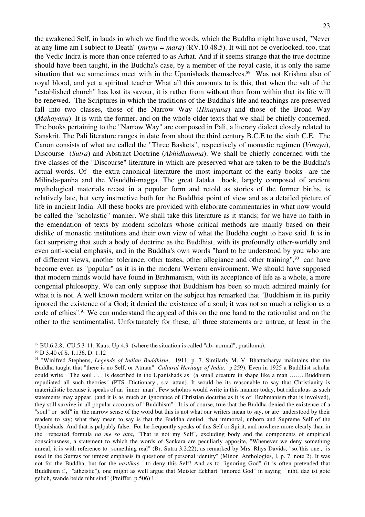the awakened Self, in lauds in which we find the words, which the Buddha might have used, "Never at any lime am I subject to Death" (*mrtyu = mara*) (RV.10.48.5). It will not be overlooked, too, that the Vedic Indra is more than once referred to as Arhat. And if it seems strange that the true doctrine should have been taught, in the Buddha's case, by a member of the royal caste, it is only the same situation that we sometimes meet with in the Upanishads themselves.<sup>89</sup> Was not Krishna also of royal blood, and yet a spiritual teacher What all this amounts to is this, that when the salt of the "established church" has lost its savour, it is rather from without than from within that its life will be renewed. The Scriptures in which the traditions of the Buddha's life and teachings are preserved fall into two classes, those of the Narrow Way (*Hinayana*) and those of the Broad Way (*Mahayana*). It is with the former, and on the whole older texts that we shall be chiefly concerned. The books pertaining to the "Narrow Way" are composed in Pali, a literary dialect closely related to Sanskrit. The Pali literature ranges in date from about the third century B.C.E to the sixth C.E. The Canon consists of what are called the "Three Baskets", respectively of monastic regimen (*Vinaya*), Discourse (*Sutra*) and Abstract Doctrine (*Abhidhamma*). We shall be chiefly concerned with the five classes of the "Discourse" literature in which are preserved what are taken to be the Buddha's actual words. Of the extra-canonical literature the most important of the early books are the Milinda-panha and the Visuddhi-magga. The great Jataka book, largely composed of ancient mythological materials recast in a popular form and retold as stories of the former births, is relatively late, but very instructive both for the Buddhist point of view and as a detailed picture of life in ancient India. All these books are provided with elaborate commentaries in what now would be called the "scholastic" manner. We shall take this literature as it stands; for we have no faith in the emendation of texts by modern scholars whose critical methods are mainly based on their dislike of monastic institutions and their own view of what the Buddha ought to have said. It is in fact surprising that such a body of doctrine as the Buddhist, with its profoundly other-worldly and even anti-social emphasis, and in the Buddha's own words "hard to be understood by you who are of different views, another tolerance, other tastes, other allegiance and other training",<sup>90</sup> can have become even as "popular" as it is in the modern Western environment. We should have supposed that modern minds would have found in Brahmanism, with its acceptance of life as a whole, a more congenial philosophy. We can only suppose that Buddhism has been so much admired mainly for what it is not. A well known modern writer on the subject has remarked that "Buddhism in its purity ignored the existence of a God; it denied the existence of a soul; it was not so much a religion as a code of ethics". 91 We can understand the appeal of this on the one hand to the rationalist and on the other to the sentimentalist. Unfortunately for these, all three statements are untrue, at least in the

<sup>89</sup> BU.6.2.8; CU.5.3-11; Kaus. Up.4.9 (where the situation is called "ab- normal", pratiloma).

<sup>90</sup> D 3.40 cf S. 1.136, D. 1.12

<sup>91</sup> "Winifred Stephens, *Legends of Indian Buddhism*, 1911, p. 7. Similarly M. V. Bhattacharya maintains that the Buddha taught that "there is no Self, or Atman" *Cultural Heritage of India*, p.259). Even in 1925 a Buddhist scholar could write "The soul . . . is described in the Upanishads as (a small creature in shape like a man ……..Buddhism repudiated all such theories" (PTS. Dictionary., s.v. attan). It would be its reasonable to say that Christianity is materialistic because it speaks of an "inner man". Few scholars would write in this manner today, but ridiculous as such statements may appear, (and it is as much an ignorance of Christian doctrine as it is of Brahmanism that is involved), they still survive in all popular accounts of "Buddhism". It is of course, true that the Buddha denied the existence of a "soul" or "self" in the narrow sense of the word but this is not what our writers mean to say, or are understood by their readers to say; what they mean to say is that the Buddha denied that immortal, unborn and Supreme Self of the Upanishads. And that is palpably false. For he frequently speaks of this Self or Spirit, and nowhere more clearly than in the repeated formula *na me so atta*, "That is not my Self", excluding body and the components of empirical consciousness, a statement to which the words of Sankara are peculiarly apposite, "Whenever we deny something unreal, it is with reference to something real" (Br. Sutra 3.2.22); as remarked by Mrs. Rhys Davids, "so,'this one', is used in the Suttras for utmost emphasis in questions of personal identity" (Minor Anthologies, I, p. 7, note 2). It was not for the Buddha, but for the *nastikas*, to deny this Self! And as to "ignoring God" (it is often pretended that Buddhism i!, "atheistic"), one might as well argue that Meister Eckhart "ignored God" in saying "niht, daz ist gote gelich, wande beide niht sind" (Pfeiffer, p.506) !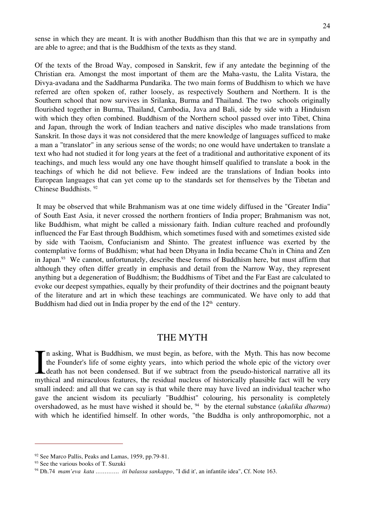sense in which they are meant. It is with another Buddhism than this that we are in sympathy and are able to agree; and that is the Buddhism of the texts as they stand.

Of the texts of the Broad Way, composed in Sanskrit, few if any antedate the beginning of the Christian era. Amongst the most important of them are the Maha-vastu, the Lalita Vistara, the Divya-avadana and the Saddharma Pundarika. The two main forms of Buddhism to which we have referred are often spoken of, rather loosely, as respectively Southern and Northern. It is the Southern school that now survives in Srilanka, Burma and Thailand. The two schools originally flourished together in Burma, Thailand, Cambodia, Java and Bali, side by side with a Hinduism with which they often combined. Buddhism of the Northern school passed over into Tibet, China and Japan, through the work of Indian teachers and native disciples who made translations from Sanskrit. In those days it was not considered that the mere knowledge of languages sufficed to make a man a "translator" in any serious sense of the words; no one would have undertaken to translate a text who had not studied it for long years at the feet of a traditional and authoritative exponent of its teachings, and much less would any one have thought himself qualified to translate a book in the teachings of which he did not believe. Few indeed are the translations of Indian books into European languages that can yet come up to the standards set for themselves by the Tibetan and Chinese Buddhists. <sup>92</sup>

 It may be observed that while Brahmanism was at one time widely diffused in the "Greater India" of South East Asia, it never crossed the northern frontiers of India proper; Brahmanism was not, like Buddhism, what might be called a missionary faith. Indian culture reached and profoundly influenced the Far East through Buddhism, which sometimes fused with and sometimes existed side by side with Taoism, Confucianism and Shinto. The greatest influence was exerted by the contemplative forms of Buddhism; what had been Dhyana in India became Cha'n in China and Zen in Japan. 93 We cannot, unfortunately, describe these forms of Buddhism here, but must affirm that although they often differ greatly in emphasis and detail from the Narrow Way, they represent anything but a degeneration of Buddhism; the Buddhisms of Tibet and the Far East are calculated to evoke our deepest sympathies, equally by their profundity of their doctrines and the poignant beauty of the literature and art in which these teachings are communicated. We have only to add that Buddhism had died out in India proper by the end of the  $12<sup>th</sup>$  century.

#### THE MYTH

n asking, What is Buddhism, we must begin, as before, with the Myth. This has now become the Founder's life of some eighty years, into which period the whole epic of the victory over death has not been condensed. But if we subtract from the pseudo-historical narrative all its In asking, What is Buddhism, we must begin, as before, with the Myth. This has now become the Founder's life of some eighty years, into which period the whole epic of the victory over death has not been condensed. But if w small indeed: and all that we can say is that while there may have lived an individual teacher who gave the ancient wisdom its peculiarly "Buddhist" colouring, his personality is completely overshadowed, as he must have wished it should be, 94 by the eternal substance (*akalika dharma*) with which he identified himself. In other words, "the Buddha is only anthropomorphic, not a

<sup>92</sup> See Marco Pallis, Peaks and Lamas, 1959, pp.79-81.

<sup>&</sup>lt;sup>93</sup> See the various books of T. Suzuki

<sup>94</sup> Dh.74 *mam'eva kata …………. iti balassa sankappo*, "I did it', an infantile idea", Cf. Note 163.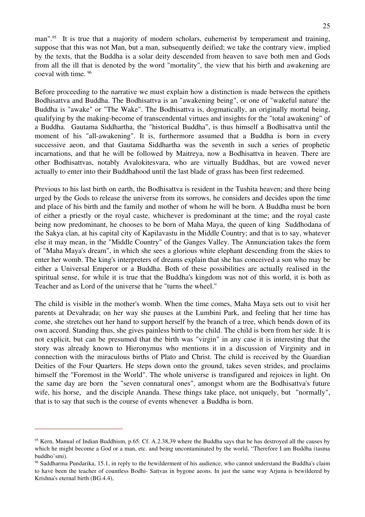man".<sup>95</sup> It is true that a majority of modern scholars, euhemerist by temperament and training, suppose that this was not Man, but a man, subsequently deified; we take the contrary view, implied by the texts, that the Buddha is a solar deity descended from heaven to save both men and Gods from all the ill that is denoted by the word "mortality", the view that his birth and awakening are coeval with time. 96

Before proceeding to the narrative we must explain how a distinction is made between the epithets Bodhisattva and Buddha. The Bodhisattva is an "awakening being", or one of "wakeful nature' the Buddha is "awake" or "The Wake". The Bodhisattva is, dogmatically, an originally mortal being, qualifying by the making-become of transcendental virtues and insights for the "total awakening" of a Buddha. Gautama Siddhartha, the "historical Buddha", is thus himself a Bodhisattva until the moment of his "all-awakening". It is, furthermore assumed that a Buddha is born in every successive aeon, and that Gautama Siddhartha was the seventh in such a series of prophetic incarnations, and that he will be followed by Maitreya, now a Bodhisattva in heaven. There are other Bodhisattvas, notably Avalokitesvara, who are virtually Buddhas, but are vowed never actually to enter into their Buddhahood until the last blade of grass has been first redeemed.

Previous to his last birth on earth, the Bodhisattva is resident in the Tushita heaven; and there being urged by the Gods to release the universe from its sorrows, he considers and decides upon the time and place of his birth and the family and mother of whom he will be born. A Buddha must be born of either a priestly or the royal caste, whichever is predominant at the time; and the royal caste being now predominant, he chooses to be born of Maha Maya, the queen of king Suddhodana of the Sakya clan, at his capital city of Kapilavastu in the Middle Country; and that is to say, whatever else it may mean, in the "Middle Country" of the Ganges Valley. The Annunciation takes the form of "Maha Maya's dream", in which she sees a glorious white elephant descending from the skies to enter her womb. The king's interpreters of dreams explain that she has conceived a son who may be either a Universal Emperor or a Buddha. Both of these possibilities are actually realised in the spiritual sense, for while it is true that the Buddha's kingdom was not of this world, it is both as Teacher and as Lord of the universe that he "turns the wheel."

The child is visible in the mother's womb. When the time comes, Maha Maya sets out to visit her parents at Devahrada; on her way she pauses at the Lumbini Park, and feeling that her time has come, she stretches out her hand to support herself by the branch of a tree, which bends down of its own accord. Standing thus, she gives painless birth to the child. The child is born from her side. It is not explicit, but can be presumed that the birth was "virgin" in any case it is interesting that the story was already known to Hieronymus who mentions it in a discussion of Virginity and in connection with the miraculous births of Plato and Christ. The child is received by the Guardian Deities of the Four Quarters. He steps down onto the ground, takes seven strides, and proclaims himself the "Foremost in the World". The whole universe is transfigured and rejoices in light. On the same day are born the "seven connatural ones", amongst whom are the Bodhisattva's future wife, his horse, and the disciple Ananda. These things take place, not uniquely, but "normally", that is to say that such is the course of events whenever a Buddha is born.

<sup>95</sup> Kern, Manual of Indian Buddhism, p.65. Cf. A.2.38,39 where the Buddha says that he has destroyed all the causes by which he might become a God or a man, etc. and being uncontaminated by the world, "Therefore I am Buddha (tasma buddho'smi).<br><sup>96</sup> Saddharma Pundarika, 15.1, in reply to the bewilderment of his audience, who cannot understand the Buddha's claim

to have been the teacher of countless Bodhi- Sattvas in bygone aeons. In just the same way Arjuna is bewildered by Krishna's eternal birth (BG.4.4),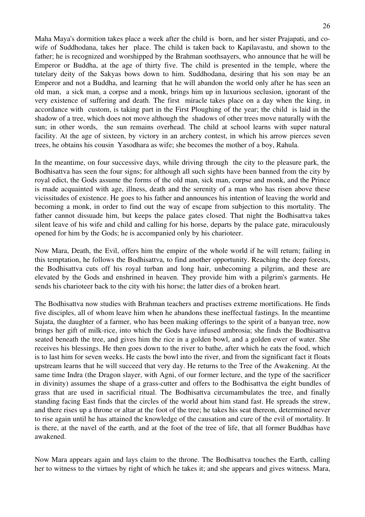Maha Maya's dormition takes place a week after the child is born, and her sister Prajapati, and cowife of Suddhodana, takes her place. The child is taken back to Kapilavastu, and shown to the father; he is recognized and worshipped by the Brahman soothsayers, who announce that he will be Emperor or Buddha, at the age of thirty five. The child is presented in the temple, where the tutelary deity of the Sakyas bows down to him. Suddhodana, desiring that his son may be an Emperor and not a Buddha, and learning that he will abandon the world only after he has seen an old man, a sick man, a corpse and a monk, brings him up in luxurious seclusion, ignorant of the very existence of suffering and death. The first miracle takes place on a day when the king, in accordance with custom, is taking part in the First Ploughing of the year; the child is laid in the shadow of a tree, which does not move although the shadows of other trees move naturally with the sun; in other words, the sun remains overhead. The child at school learns with super natural facility. At the age of sixteen, by victory in an archery contest, in which his arrow pierces seven trees, he obtains his cousin Yasodhara as wife; she becomes the mother of a boy, Rahula.

In the meantime, on four successive days, while driving through the city to the pleasure park, the Bodhisattva has seen the four signs; for although all such sights have been banned from the city by royal edict, the Gods assume the forms of the old man, sick man, corpse and monk, and the Prince is made acquainted with age, illness, death and the serenity of a man who has risen above these vicissitudes of existence. He goes to his father and announces his intention of leaving the world and becoming a monk, in order to find out the way of escape from subjection to this mortality. The father cannot dissuade him, but keeps the palace gates closed. That night the Bodhisattva takes silent leave of his wife and child and calling for his horse, departs by the palace gate, miraculously opened for him by the Gods; he is accompanied only by his charioteer.

Now Mara, Death, the Evil, offers him the empire of the whole world if he will return; failing in this temptation, he follows the Bodhisattva, to find another opportunity. Reaching the deep forests, the Bodhisattva cuts off his royal turban and long hair, unbecoming a pilgrim, and these are elevated by the Gods and enshrined in heaven. They provide him with a pilgrim's garments. He sends his charioteer back to the city with his horse; the latter dies of a broken heart.

The Bodhisattva now studies with Brahman teachers and practises extreme mortifications. He finds five disciples, all of whom leave him when he abandons these ineffectual fastings. In the meantime Sujata, the daughter of a farmer, who has been making offerings to the spirit of a banyan tree, now brings her gift of milk-rice, into which the Gods have infused ambrosia; she finds the Bodhisattva seated beneath the tree, and gives him the rice in a golden bowl, and a golden ewer of water. She receives his blessings. He then goes down to the river to bathe, after which he eats the food, which is to last him for seven weeks. He casts the bowl into the river, and from the significant fact it floats upstream learns that he will succeed that very day. He returns to the Tree of the Awakening. At the same time Indra (the Dragon slayer, with Agni, of our former lecture, and the type of the sacrificer in divinity) assumes the shape of a grass-cutter and offers to the Bodhisattva the eight bundles of grass that are used in sacrificial ritual. The Bodhisattva circumambulates the tree, and finally standing facing East finds that the circles of the world about him stand fast. He spreads the strew, and there rises up a throne or altar at the foot of the tree; he takes his seat thereon, determined never to rise again until he has attained the knowledge of the causation and cure of the evil of mortality. It is there, at the navel of the earth, and at the foot of the tree of life, that all former Buddhas have awakened.

Now Mara appears again and lays claim to the throne. The Bodhisattva touches the Earth, calling her to witness to the virtues by right of which he takes it; and she appears and gives witness. Mara,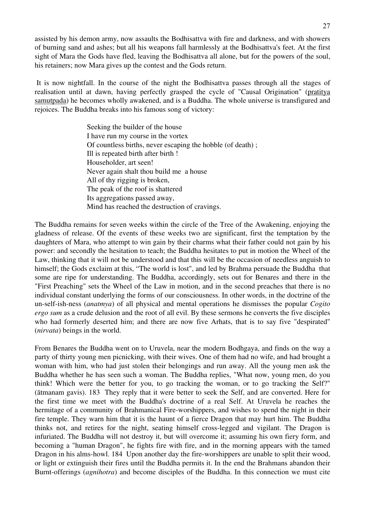assisted by his demon army, now assaults the Bodhisattva with fire and darkness, and with showers of burning sand and ashes; but all his weapons fall harmlessly at the Bodhisattva's feet. At the first sight of Mara the Gods have fled, leaving the Bodhisattva all alone, but for the powers of the soul, his retainers; now Mara gives up the contest and the Gods return.

 It is now nightfall. In the course of the night the Bodhisattva passes through all the stages of realisation until at dawn, having perfectly grasped the cycle of "Causal Origination" (pratitya samutpada) he becomes wholly awakened, and is a Buddha. The whole universe is transfigured and rejoices. The Buddha breaks into his famous song of victory:

> Seeking the builder of the house I have run my course in the vortex Of countless births, never escaping the hobble (of death) ; Ill is repeated birth after birth ! Householder, art seen! Never again shalt thou build me a house All of thy rigging is broken, The peak of the roof is shattered Its aggregations passed away, Mind has reached the destruction of cravings.

The Buddha remains for seven weeks within the circle of the Tree of the Awakening, enjoying the gladness of release. Of the events of these weeks two are significant, first the temptation by the daughters of Mara, who attempt to win gain by their charms what their father could not gain by his power: and secondly the hesitation to teach; the Buddha hesitates to put in motion the Wheel of the Law, thinking that it will not be understood and that this will be the occasion of needless anguish to himself; the Gods exclaim at this, "The world is lost", and led by Brahma persuade the Buddha that some are ripe for understanding. The Buddha, accordingly, sets out for Benares and there in the "First Preaching" sets the Wheel of the Law in motion, and in the second preaches that there is no individual constant underlying the forms of our consciousness. In other words, in the doctrine of the un-self-ish-ness (*anatmya*) of all physical and mental operations he dismisses the popular *Cogito ergo sum* as a crude delusion and the root of all evil. By these sermons he converts the five disciples who had formerly deserted him; and there are now five Arhats, that is to say five "despirated" (*nirvata*) beings in the world.

From Benares the Buddha went on to Uruvela, near the modern Bodhgaya, and finds on the way a party of thirty young men picnicking, with their wives. One of them had no wife, and had brought a woman with him, who had just stolen their belongings and run away. All the young men ask the Buddha whether he has seen such a woman. The Buddha replies, "What now, young men, do you think! Which were the better for you, to go tracking the woman, or to go tracking the Self?" (ātmanam gavis). 183 They reply that it were better to seek the Self, and are converted. Here for the first time we meet with the Buddha's doctrine of a real Self. At Uruvela he reaches the hermitage of a community of Brahmanical Fire-worshippers, and wishes to spend the night in their fire temple. They warn him that it is the haunt of a fierce Dragon that may hurt him. The Buddha thinks not, and retires for the night, seating himself cross-legged and vigilant. The Dragon is infuriated. The Buddha will not destroy it, but will overcome it; assuming his own fiery form, and becoming a "human Dragon", he fights fire with fire, and in the morning appears with the tamed Dragon in his alms-howl. 184 Upon another day the fire-worshippers are unable to split their wood, or light or extinguish their fires until the Buddha permits it. In the end the Brahmans abandon their Burnt-offerings (*agnihotra*) and become disciples of the Buddha. In this connection we must cite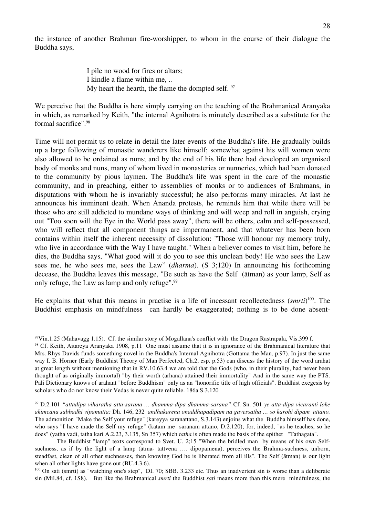the instance of another Brahman fire-worshipper, to whom in the course of their dialogue the Buddha says,

> I pile no wood for fires or altars; I kindle a flame within me, .. My heart the hearth, the flame the dompted self.  $97$

We perceive that the Buddha is here simply carrying on the teaching of the Brahmanical Aranyaka in which, as remarked by Keith, "the internal Agnihotra is minutely described as a substitute for the formal sacrifice". 98

Time will not permit us to relate in detail the later events of the Buddha's life. He gradually builds up a large following of monastic wanderers like himself; somewhat against his will women were also allowed to be ordained as nuns; and by the end of his life there had developed an organised body of monks and nuns, many of whom lived in monasteries or nunneries, which had been donated to the community by pious laymen. The Buddha's life was spent in the care of the monastic community, and in preaching, either to assemblies of monks or to audiences of Brahmans, in disputations with whom he is invariably successful; he also performs many miracles. At last he announces his imminent death. When Ananda protests, he reminds him that while there will be those who are still addicted to mundane ways of thinking and will weep and roll in anguish, crying out "Too soon will the Eye in the World pass away", there will be others, calm and self-possessed, who will reflect that all component things are impermanent, and that whatever has been born contains within itself the inherent necessity of dissolution: "Those will honour my memory truly, who live in accordance with the Way I have taught." When a believer comes to visit him, before he dies, the Buddha says, "What good will it do you to see this unclean body! He who sees the Law sees me, he who sees me, sees the Law" (*dharma*). (S 3;120) In announcing his forthcoming decease, the Buddha leaves this message, "Be such as have the Self (ātman) as your lamp, Self as only refuge, the Law as lamp and only refuge". 99

He explains that what this means in practise is a life of incessant recollectedness (*smrti*) 100. The Buddhist emphasis on mindfulness can hardly be exaggerated; nothing is to be done absent-

 $\overline{\phantom{a}}$   $\overline{\phantom{a}}$   $\overline{\phantom{a}}$   $\overline{\phantom{a}}$   $\overline{\phantom{a}}$   $\overline{\phantom{a}}$   $\overline{\phantom{a}}$   $\overline{\phantom{a}}$   $\overline{\phantom{a}}$   $\overline{\phantom{a}}$   $\overline{\phantom{a}}$   $\overline{\phantom{a}}$   $\overline{\phantom{a}}$   $\overline{\phantom{a}}$   $\overline{\phantom{a}}$   $\overline{\phantom{a}}$   $\overline{\phantom{a}}$   $\overline{\phantom{a}}$   $\overline{\$ 

<sup>100</sup> On sati (smrti) as "watching one's step", DI. 70; SBB. 3.233 etc. Thus an inadvertent sin is worse than a deliberate sin (Mil.84, cf. 1S8). But like the Brahmanical *smrti* the Buddhist *sati* means more than this mere mindfulness, the

 $97$ Vin.1.25 (Mahavagg 1.15). Cf. the similar story of Mogallana's conflict with the Dragon Rastrapala, Vis.399 f.

<sup>&</sup>lt;sup>98</sup> Cf. Keith, Aitareya Aranyaka 1908, p.11 One must assume that it is in ignorance of the Brahmanical literature that Mrs. Rhys Davids funds something novel in the Buddha's Internal Agnihotra (Gottama the Man, p.97). In just the same way I. B. Horner (Early Buddhist Theory of Man Perfectcd, Ch.2, esp. p.53) can discuss the history of the word arahat at great length without mentioning that in RV.10.63.4 we are told that the Gods (who, in their plurality, had never been thought of as originally immortal) "by their worth (arhana) attained their immortality" And in the same way the PTS. Pali Dictionary knows of arahant "before Buddhism" only as an "honorific title of high officials". Buddhist exegesis by scholars who do not know their Vedas is never quite reliable. 186a S.3.120

<sup>99</sup> D.2.101 *"attadipa viharatha atta-sarana … dhamma-dipa dhamma-sarana"* Cf. Sn. 501 *ye atta-dipa vicaranti loke akimcana sabbadhi vipamutta:* Dh. 146, 232 *andhakarena onaddhapadipam na gavessatha … so karohi dipam attano.*  The admonition "Make the Self your refuge" (kareyya saranattano, S.3.143) enjoins what the Buddha himself has done, who says "I have made the Self my refuge" (katam me saranam attano, D.2.120); for, indeed, "as he teaches, so he does" (yatha vadi, tatha kari A.2.23, 3.135, Sn 357) which *tatha* is often made the basis of the epithet "Tathagata".

The Buddhist "lamp" texts correspond to Svet. U. 2;15 "When the bridled man by means of his own Selfsuchness, as if by the light of a lamp (atma- tattvena .... dipopamena), perceives the Brahma-suchness, unborn, steadfast, clean of all other suchnesses, then knowing God he is liberated from all ills". The Self (ātman) is our light when all other lights have gone out (BU.4.3.6).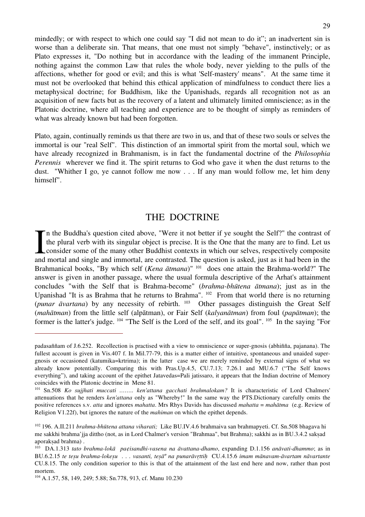mindedly; or with respect to which one could say "I did not mean to do it"; an inadvertent sin is worse than a deliberate sin. That means, that one must not simply "behave", instinctively; or as Plato expresses it, "Do nothing but in accordance with the leading of the immanent Principle, nothing against the common Law that rules the whole body, never yielding to the pulls of the affections, whether for good or evil; and this is what 'Self-mastery' means". At the same time it must not be overlooked that behind this ethical application of mindfulness to conduct there lies a metaphysical doctrine; for Buddhism, like the Upanishads, regards all recognition not as an acquisition of new facts but as the recovery of a latent and ultimately limited omniscience; as in the Platonic doctrine, where all teaching and experience are to be thought of simply as reminders of what was already known but had been forgotten.

Plato, again, continually reminds us that there are two in us, and that of these two souls or selves the immortal is our "real Self". This distinction of an immortal spirit from the mortal soul, which we have already recognized in Brahmanism, is in fact the fundamental doctrine of the *Philosophia Perennis* wherever we find it. The spirit returns to God who gave it when the dust returns to the dust. "Whither I go, ye cannot follow me now . . . If any man would follow me, let him deny himself".

### THE DOCTRINE

n the Buddha's question cited above, "Were it not better if ye sought the Self?" the contrast of the plural verb with its singular object is precise. It is the One that the many are to find. Let us consider some of the many other Buddhist contexts in which our selves, respectively composite In the Buddha's question cited above, "Were it not better if ye sought the Self?" the contrast of the plural verb with its singular object is precise. It is the One that the many are to find. Let us consider some of the ma Brahmanical books, "By which self (*Kena ātmana*)" 101 does one attain the Brahma-world?" The answer is given in another passage, where the usual formula descriptive of the Arhat's attainment concludes "with the Self that is Brahma-become" (*brahma-bhūtena ātmana*); just as in the Upanishad "It is as Brahma that he returns to Brahma". <sup>102</sup> From that world there is no returning (*punar āvartana*) by any necessity of rebirth. 103 Other passages distinguish the Great Self (*mahātman*) from the little self (alpātman), or Fair Self (*kalyanātman*) from foul (*papātman*); the former is the latter's judge. 104 "The Self is the Lord of the self, and its goal". 105 In the saying "For

padasaññam of J.6.252. Recollection is practised with a view to omniscience or super-gnosis (abhiñña, pajanana). The fullest account is given in Vis.407 f. In Mil.77-79, this is a matter either of intuitive, spontaneous and unaided supergnosis or occasioned (katumika=krtrima); in the latter case we are merely reminded by external signs of what we already know potentially. Comparing this with Pras.Up.4.5, CU.7.13; 7.26.1 and MU.6.7 ("The Self knows everything"), and taking account of the epithet Jatavedas=Pali jatissaro, it appears that the Indian doctrine of Memory coincides with the Platonic doctrine in Mene 81.

<sup>101</sup> Sn.508 *Ko sujjhati muccati …….. ken'attana gacchati brahmalokam?* It is characteristic of Lord Chalmers' attenuations that he renders *ken'attana* only as "Whereby!" In the same way the PTS.Dictionary carefully omits the positive references s.v. *atta* and ignores *mahatta*. Mrs Rhys Davids has discussed *mahatta* = *mahātma* (e.g. Review of Religion V1.22f), but ignores the nature of the *mahiman* on which the epithet depends.

<sup>102</sup> 196. A.II.211 *brahma-bhūtena attana viharati;* Like BU.IV.4.6 brahmaiva san brahmapyeti. Cf. Sn.508 bhagava hi me sakkhi brahma'jja dittho (not, as in Lord Chalmer's version "Brahmaa", but Brahma); sakkhi as in BU.3.4.2 sakṣad aporaksad brahma).

<sup>103</sup> DA.1.313 *tato brahma-lokā pa¢isandhi-vasena na āvattana-dhamo*, expanding D.1.156 *anāvati-dhammo*; as in BU.6.2.15 te teşu brahma-lokeşu ... vasanti, teşā<sup>o</sup> na punarāvŗttih CU.4.15.6 imam mānavam-āvartam nāvartante CU.8.15. The only condition superior to this is that of the attainment of the last end here and now, rather than post mortem.

<sup>104</sup> A.1.57, 58, 149, 249; 5.88; Sn.778, 913, cf. Manu 10.230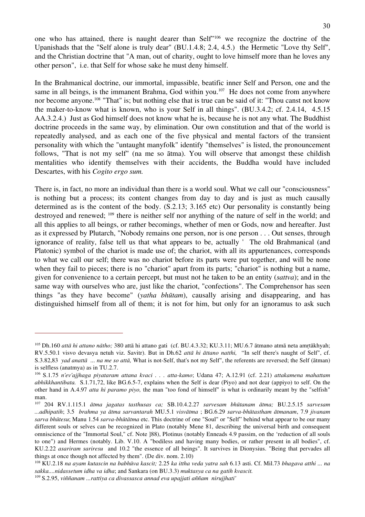one who has attained, there is naught dearer than Self"106 we recognize the doctrine of the Upanishads that the "Self alone is truly dear" (BU.1.4.8; 2.4, 4.5.) the Hermetic "Love thy Self", and the Christian doctrine that "A man, out of charity, ought to love himself more than he loves any other person", i.e. that Self for whose sake he must deny himself.

In the Brahmanical doctrine, our immortal, impassible, beatific inner Self and Person, one and the same in all beings, is the immanent Brahma, God within you.<sup>107</sup> He does not come from anywhere nor become anyone. 108 "That" is; but nothing else that is true can be said of it: "Thou canst not know the maker-to-know what is known, who is your Self in all things". (BU.3.4.2; cf. 2.4.14, 4.5.15 AA.3.2.4.) Just as God himself does not know what he is, because he is not any what. The Buddhist doctrine proceeds in the same way, by elimination. Our own constitution and that of the world is repeatedly analysed, and as each one of the five physical and mental factors of the transient personality with which the "untaught manyfolk" identify "themselves" is listed, the pronouncement follows, "That is not my self" (na me so ātma). You will observe that amongst these childish mentalities who identify themselves with their accidents, the Buddha would have included Descartes, with his *Cogito ergo sum.*

There is, in fact, no more an individual than there is a world soul. What we call our "consciousness" is nothing but a process; its content changes from day to day and is just as much causally determined as is the content of the body. (S.2.13; 3.165 etc) Our personality is constantly being destroyed and renewed; <sup>109</sup> there is neither self nor anything of the nature of self in the world; and all this applies to all beings, or rather becomings, whether of men or Gods, now and hereafter. Just as it expressed by Plutarch, "Nobody remains one person, nor is one person . . . Out senses, through ignorance of reality, false tell us that what appears to be, actually ' The old Brahmanical (and Platonic) symbol of the chariot is made use of; the chariot, with all its appurtenances, corresponds to what we call our self; there was no chariot before its parts were put together, and will be none when they fail to pieces; there is no "chariot" apart from its parts; "chariot" is nothing but a name, given for convenience to a certain percept, but must not he taken to be an entity (*sattva*); and in the same way with ourselves who are, just like the chariot, "confections". The Comprehensor has seen things "as they have become" (*yatha bhūtam*), causally arising and disappearing, and has distinguished himself from all of them; it is not for him, but only for an ignoramus to ask such

<sup>&</sup>lt;sup>105</sup> Dh.160 *attā hi attano nātho;* 380 attā hi attano gati (cf. BU.4.3.32; KU.3.11; MU.6.7 ātmano atmā neta amrtākhyah; RV.5.50.1 visvo devasya netuh viz. Savitr). But in Dh.62 *attā hi āttano natthi,* "In self there's naught of Self", cf. S.3.82,83 *yad anattā ... na me so attā,* What is not-Self, that's not my Self", the referents are reversed; the Self (ātman) is selfless (anatmya) as in TU.2.7.

<sup>106</sup> S.1.75 *n'ev'ajjhaga piyataram attana kvaci . . . atta-kamo*; Udana 47; A.12.91 (cf. 2.21) *attakamena mahattam abhikkhantibata.* S.1.71,72, like BG.6.5-7, explains when the Self is dear (Piyo) and not dear (appiyo) to self. On the other hand in A.4.97 *atta hi paramo piyo,* the man "too fond of himself" is what is ordinarily meant by the "selfish" man.

<sup>107</sup> 204 RV.1.115.1 *ātma jagatas tasthusas ca;* SB.10.4.2.27 *sarvesam bhūtanam ātma;* BU.2.5.15 *sarvesam ...adhipatih*; 3.5 *brahma ya ātma sarvantarah* MU.5.1 *visvātma* ; BG.6.29 *sarva-bhūtastham ātmanam*, 7.9 *jivanam sarva bhūtesu*; Manu 1.54 *sarva-bhūtātma* etc. This doctrine of one "Soul" or "Self" behind what appear to be our many different souls or selves can be recognized in Plato (notably Mene 81, describing the universal birth and consequent omniscience of the "Immortal Soul," cf. Note ]88), Plotinus (notably Enneads 4.9 passim, on the 'reduction of all souls to one") and Hermes (notably. Lib. V.10. A "bodiless and having many bodies, or rather present in all bodies", cf. KU.2.22 *asariram sariresu* and 10.2 "the essence of all beings". It survives in Dionysius. "Being that pervades all things at once though not affected by them". (De div. nom. 2.10) 108 KU.2.18 *na ayam kutascin na babhūva kascit;* 2.25 *ka ittha veda yatra sah* 6.13 asti. Cf. Mil.73 *bhagava atthi ... na* 

*sakka....nidassetum idha va idha*; and Sankara (on BU.3.3) *muktasya ca na gatih kvascit.*

<sup>109</sup> S.2.95, *viññanam ...rattiya ca divassasca annad eva upajjati aññam nirujjhati'*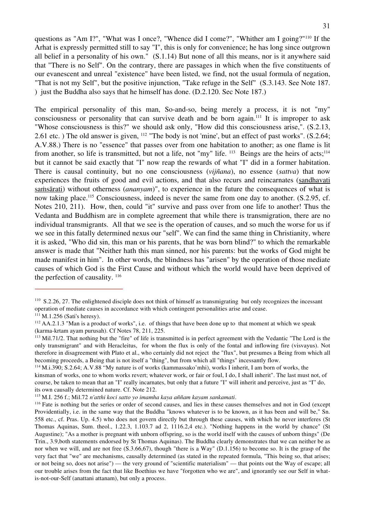questions as "Am I?", "What was I once?, "Whence did I come?", "Whither am I going?"110 If the Arhat is expressly permitted still to say "I", this is only for convenience; he has long since outgrown all belief in a personality of his own." (S.1.14) But none of all this means, nor is it anywhere said that "There is no Self". On the contrary, there are passages in which when the five constituents of our evanescent and unreal "existence" have been listed, we find, not the usual formula of negation, "That is not my Self", but the positive injunction, "Take refuge in the Self" (S.3.143. See Note 187. ) just the Buddha also says that he himself has done. (D.2.120. Sec Note 187.)

The empirical personality of this man, So-and-so, being merely a process, it is not "my" consciousness or personality that can survive death and be born again.111 It is improper to ask "Whose consciousness is this?" we should ask only, "How did this consciousness arise,". (S.2.13, 2.61 etc. ) The old answer is given, 112 "The body is not 'mine', but an effect of past works". (S.2.64; A.V.88.) There is no "essence" that passes over from one habitation to another; as one flame is lit from another, so life is transmitted, but not a life, not "my" life. <sup>113</sup> Beings are the heirs of acts;<sup>114</sup> but it cannot be said exactly that "I" now reap the rewards of what "I" did in a former habitation. There is causal continuity, but no one consciousness (*vijñana*), no essence (*sattva*) that now experiences the fruits of good and evil actions, and that also recurs and reincarnates (sandhavati saṁsārati) without otherness (*ananyam*)", to experience in the future the consequences of what is now taking place.<sup>115</sup> Consciousness, indeed is never the same from one day to another. (S.2.95, cf. Notes 210, 211). How, then, could "it" survive and pass over from one life to another! Thus the Vedanta and Buddhism are in complete agreement that while there is transmigration, there are no individual transmigrants. All that we see is the operation of causes, and so much the worse for us if we see in this fatally determined nexus our "self". We can find the same thing in Christianity, where it is asked, "Who did sin, this man or his parents, that he was born blind?" to which the remarkable answer is made that "Neither hath this man sinned, nor his parents: but the works of God might be made manifest in him". In other words, the blindness has "arisen" by the operation of those mediate causes of which God is the First Cause and without which the world would have been deprived of the perfection of causality. <sup>116</sup>

<sup>110</sup> S.2.26, 27. The enlightened disciple does not think of himself as transmigrating but only recognizes the incessant operation of mediate causes in accordance with which contingent personalities arise and cease.  $111$  M.1.256 (Sati's heresy).

<sup>&</sup>lt;sup>112</sup> AA.2.1.3 "Man is a product of works", i.e. of things that have been done up to that moment at which we speak

<sup>(</sup>karma-krtam ayam purusah). Cf Notes 78, 211, 225.

<sup>113</sup> Mil.71/2. That nothing but the "fire" of life is transmitted is in perfect agreement with the Vedantic "The Lord is the only transmigrant" and with Heracleitus, for whom the flux is only of the fontal and inflowing fire (visvayus). Not therefore in disagreement with Plato et al., who certainly did not reject the "flux", but presumes a Being from which all becoming proceeds, a Being that is not itself a "thing", but from which all "things" incessantly flo

<sup>&</sup>lt;sup>114</sup> M.i.390; S.2.64; A.V.88 "My nature is of works (kammassako'mhi), works I inherit, I am born of works, the kinsman of works, one to whom works revert; whatever work, or fair or foul, I do, I shall inherit". The last must not, of course, be taken to mean that an "I" really incarnates, but only that a future "I" will inherit and perceive, just as "I" do, its own causally determined nature. Cf. Note 212.

<sup>115</sup> M.I. 256 f.; Mil.72 *n'atthi koci satto yo imamha kaya aññam kayam sankamati*.

<sup>116</sup> Fate is nothing but the series or order of second causes, and lies in these causes themselves and not in God (except Providentially, i.e. in the same way that the Buddha "knows whatever is to be known, as it has been and will be," Sn. 558 etc., cf. Pras. Up. 4.5) who does not govern directly but through these causes, with which he never interferes (St Thomas Aquinas, Sum. theol., 1.22.3, 1.103.7 ad 2, 1116.2,4 etc.). "Nothing happens in the world by chance" (St Augustine); "As a mother is pregnant with unborn offspring, so is the world itself with the causes of unborn things" (De Trin., 3.9,both statements endorsed by St Thomas Aquinas). The Buddha clearly demonstrates that we can neither be as nor when we will, and are not free (S.3.66,67), though "there is a Way" (D.1.156) to become so. It is the grasp of the very fact that "we" are mechanisms, causally determined (as stated in the repeated formula, "This being so, that arises; or not being so, does not arise") — the very ground of "scientific materialism" — that points out the Way of escape; all our trouble arises from the fact that like Boethius we have "forgotten who we are", and ignorantly see our Self in whatis-not-our-Self (anattani attanam), but only a process.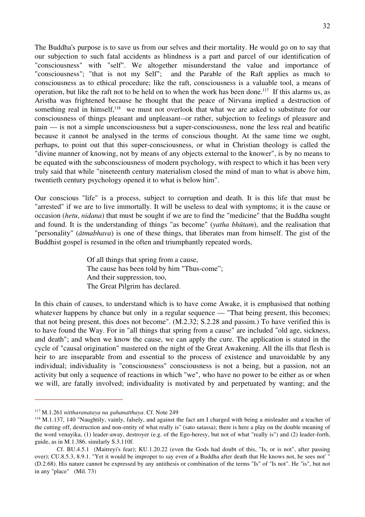The Buddha's purpose is to save us from our selves and their mortality. He would go on to say that our subjection to such fatal accidents as blindness is a part and parcel of our identification of "consciousness" with "self". We altogether misunderstand the value and importance of "consciousness"; "that is not my Self"; and the Parable of the Raft applies as much to consciousness as to ethical procedure; like the raft, consciousness is a valuable tool, a means of operation, but like the raft not to be held on to when the work has been done. 117 If this alarms us, as Aristha was frightened because he thought that the peace of Nirvana implied a destruction of something real in himself,<sup>118</sup> we must not overlook that what we are asked to substitute for our consciousness of things pleasant and unpleasant--or rather, subjection to feelings of pleasure and pain — is not a simple unconsciousness but a super-consciousness, none the less real and beatific because it cannot be analysed in the terms of conscious thought. At the same time we ought, perhaps, to point out that this super-consciousness, or what in Christian theology is called the "divine manner of knowing, not by means of any objects external to the knower", is by no means to be equated with the subconsciousness of modern psychology, with respect to which it has been very truly said that while "nineteenth century materialism closed the mind of man to what is above him, twentieth century psychology opened it to what is below him".

Our conscious "life" is a process, subject to corruption and death. It is this life that must be "arrested" if we are to live immortally. It will be useless to deal with symptoms; it is the cause or occasion (*hetu*, *nidana*) that must be sought if we are to find the "medicine" that the Buddha sought and found. It is the understanding of things "as become" (*yatha bhūtam*), and the realisation that "personality" (*ātmabhava*) is one of these things, that liberates man from himself. The gist of the Buddhist gospel is resumed in the often and triumphantly repeated words,

> Of all things that spring from a cause, The cause has been told by him "Thus-come"; And their suppression, too, The Great Pilgrim has declared.

In this chain of causes, to understand which is to have come Awake, it is emphasised that nothing whatever happens by chance but only in a regular sequence — "That being present, this becomes; that not being present, this does not become". (M.2.32; S.2.28 and passim.) To have verified this is to have found the Way. For in "all things that spring from a cause" are included "old age, sickness, and death"; and when we know the cause, we can apply the cure. The application is stated in the cycle of "causal origination" mastered on the night of the Great Awakening. All the ills that flesh is heir to are inseparable from and essential to the process of existence and unavoidable by any individual; individuality is "consciousness" consciousness is not a being, but a passion, not an activity but only a sequence of reactions in which "we", who have no power to be either as or when we will, are fatally involved; individuality is motivated by and perpetuated by wanting; and the

<sup>117</sup> M.1.261 *nittharanataya na gahanatthaya*. Cf. Note 249

<sup>118</sup> M.1.137, 140 "Naughtily, vainly, falsely, and against the fact am I charged with being a misleader and a teacher of the cutting off, destruction and non-entity of what really is" (sato satassa); there is here a play on the double meaning of the word venayika, (1) leader-away, destroyer (e.g. of the Ego-heresy, but not of what "really is") and (2) leader-forth, guide, as in M.1.386. similarly S.3.110f.

Cf. BU.4.5.1 (Maitreyi's fear); KU.1.20.22 (even the Gods had doubt of this, "Is, or is not", after passing over); CU.8.5.3, 8.9.1. "Yet it would be improper to say even of a Buddha after death that He knows not, he sees not' " (D.2.68). His nature cannot be expressed by any antithesis or combination of the terms "Is" of "Is not". He "is", but not in any "place" (Mil. 73)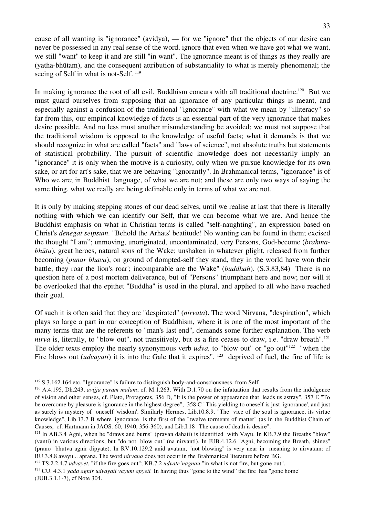cause of all wanting is "ignorance" (avidya), — for we "ignore" that the objects of our desire can never be possessed in any real sense of the word, ignore that even when we have got what we want, we still "want" to keep it and are still "in want". The ignorance meant is of things as they really are (yatha-bhūtam), and the consequent attribution of substantiality to what is merely phenomenal; the seeing of Self in what is not-Self.  $^{119}$ 

In making ignorance the root of all evil, Buddhism concurs with all traditional doctrine.<sup>120</sup> But we must guard ourselves from supposing that an ignorance of any particular things is meant, and especially against a confusion of the traditional "ignorance" with what we mean by "illiteracy" so far from this, our empirical knowledge of facts is an essential part of the very ignorance that makes desire possible. And no less must another misunderstanding be avoided; we must not suppose that the traditional wisdom is opposed to the knowledge of useful facts; what it demands is that we should recognize in what are called "facts" and "laws of science", not absolute truths but statements of statistical probability. The pursuit of scientific knowledge does not necessarily imply an "ignorance" it is only when the motive is a curiosity, only when we pursue knowledge for its own sake, or art for art's sake, that we are behaving "ignorantly". In Brahmanical terms, "ignorance" is of Who we are; in Buddhist language, of what we are not; and these are only two ways of saying the same thing, what we really are being definable only in terms of what we are not.

It is only by making stepping stones of our dead selves, until we realise at last that there is literally nothing with which we can identify our Self, that we can become what we are. And hence the Buddhist emphasis on what in Christian terms is called "self-naughting", an expression based on Christ's *denegat seipsum*. "Behold the Arhats' beatitude! No wanting can be found in them; excised the thought "I am"; unmoving, unoriginated, uncontaminated, very Persons, God-become (*brahmabhūta*), great heroes, natural sons of the Wake; unshaken in whatever plight, released from further becoming (*punar bhava*), on ground of dompted-self they stand, they in the world have won their battle; they roar the lion's roar'; incomparable are the Wake" (*buddhah*). (S.3.83,84) There is no question here of a post mortem deliverance, but of "Persons" triumphant here and now; nor will it be overlooked that the epithet "Buddha" is used in the plural, and applied to all who have reached their goal.

Of such it is often said that they are "despirated" (*nirvata*). The word Nirvana, "despiration", which plays so large a part in our conception of Buddhism, where it is one of the most important of the many terms that are the referents to "man's last end", demands some further explanation. The verb *nirva* is, literally, to "blow out", not transitively, but as a fire ceases to draw, i.e. "draw breath".<sup>121</sup> The older texts employ the nearly synonymous verb *udva*, to "blow out" or "go out"<sup>122</sup> "when the Fire blows out *(udvayati)* it is into the Gale that it expires", <sup>123</sup> deprived of fuel, the fire of life is

<sup>119</sup> S.3.162.164 etc. "Ignorance" is failure to distinguish body-and-consciousness from Self

<sup>120</sup> A.4.195, Dh.243, *avijja param malam*; cf. M.1.263. With D.1.70 on the infatuation that results from the indulgence of vision and other senses, cf. Plato, Protagoras, 356 D, "It is the power of appearance that leads us astray", 357 E "To be overcome by pleasure is ignorance in the highest degree", 358 C "This yielding to oneself is just 'ignorance', and just as surely is mystery of oneself 'wisdom'. Similarly Hermes, Lib.10.8.9, "The vice of the soul is ignorance, its virtue knowledge", Lib.13.7 B where 'ignorance is the first of the "twelve torments of matter" (as in the Buddhist Chain of Causes, cf. Hartmann in JAOS. 60, 1940, 356-360), and Lib.I.18 "The cause of death is desire".

<sup>&</sup>lt;sup>121</sup> In AB.3.4 Agni, when he "draws and burns" (pravan dahati) is identified with Vayu. In KB.7.9 the Breaths "blow" (vanti) in various directions, but "do not blow out" (na nirvanti). In JUB.4.12.6 "Agni, becoming the Breath, shines" (prano bhūtva agnir dipyate). In RV.10.129.2 anid avatam, "not blowing" is very near in meaning to nirvatam: cf BU.3.8.8 avayu... aprana. The word *nirvana* does not occur in the Brahmanical literature before BG.<br><sup>122</sup> TS.2.2.4.7 *udvayet*, "if the fire goes out"; KB.7.2 *udvate'nagnau* "in what is not fire, but gone out".

<sup>123</sup> CU. 4.3.1 *yada agnir udvayati vayum apyeti* In having thus "gone to the wind" the fire has "gone home" (JUB.3.1.1-7), cf Note 304.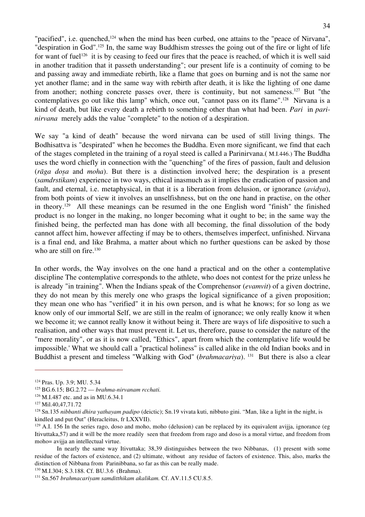"pacified", i.e. quenched, <sup>124</sup> when the mind has been curbed, one attains to the "peace of Nirvana", "despiration in God".<sup>125</sup> In, the same way Buddhism stresses the going out of the fire or light of life for want of fuel<sup>126</sup> it is by ceasing to feed our fires that the peace is reached, of which it is well said in another tradition that it passeth understanding"; our present life is a continuity of coming to be and passing away and immediate rebirth, like a flame that goes on burning and is not the same nor yet another flame; and in the same way with rebirth after death, it is like the lighting of one dame from another; nothing concrete passes over, there is continuity, but not sameness.<sup>127</sup> But "the contemplatives go out like this lamp" which, once out, "cannot pass on its flame".<sup>128</sup> Nirvana is a kind of death, but like every death a rebirth to something other than what had been. *Pari* in *parinirvana* merely adds the value "complete" to the notion of a despiration.

We say "a kind of death" because the word nirvana can be used of still living things. The Bodhisattva is "despirated" when he becomes the Buddha. Even more significant, we find that each of the stages completed in the training of a royal steed is called a Parinirvana.( M.I.446.) The Buddha uses the word chiefly in connection with the "quenching" of the fires of passion, fault and delusion (*rāga doṣa* and *moha*). But there is a distinction involved here; the despiration is a present (*samdrstikam*) experience in two ways, ethical inasmuch as it implies the eradication of passion and fault, and eternal, i.e. metaphysical, in that it is a liberation from delusion, or ignorance (*avidya*), from both points of view it involves an unselfishness, but on the one hand in practise, on the other in theory.129 All these meanings can be resumed in the one English word "finish" the finished product is no longer in the making, no longer becoming what it ought to be; in the same way the finished being, the perfected man has done with all becoming, the final dissolution of the body cannot affect him, however affecting if may be to others, themselves imperfect, unfinished. Nirvana is a final end, and like Brahma, a matter about which no further questions can be asked by those who are still on fire.<sup>130</sup>

In other words, the Way involves on the one hand a practical and on the other a contemplative discipline The contemplative corresponds to the athlete, who does not contest for the prize unless he is already "in training". When the Indians speak of the Comprehensor (*evamvit*) of a given doctrine, they do not mean by this merely one who grasps the logical significance of a given proposition; they mean one who has "verified" it in his own person, and is what he knows; for so long as we know only of our immortal Self, we are still in the realm of ignorance; we only really know it when we become it; we cannot really know it without being it. There are ways of life dispositive to such a realisation, and other ways that must prevent it. Let us, therefore, pause to consider the nature of the "mere morality", or as it is now called, "Ethics", apart from which the contemplative life would be impossible.' What we should call a "practical holiness" is called alike in the old Indian books and in Buddhist a present and timeless "Walking with God" (*brahmacariya*). <sup>131</sup> But there is also a clear

 $\overline{\phantom{a}}$ 

In nearly the same way Itivuttaka; 38,39 distinguishes between the two Nibbanas, (1) present with some residue of the factors of existence, and (2) ultimate, without any residue of factors of existence. This, also, marks the distinction of Nibbana from Parinibbana, so far as this can be really made.

<sup>130</sup> M.I.304; S.3.188. Cf. BU.3.6 (Brahma).

<sup>124</sup> Pras. Up. 3.9; MU. 5.34

<sup>125</sup> BG.6.15; BG.2.72 — *brahma-nirvanam rcchati.*

<sup>&</sup>lt;sup>126</sup> M.I.487 etc. and as in MU.6.34.1

<sup>127</sup> Mil.40,47,71.72

<sup>128</sup> Sn.135 *nibbanti dhira yathayam padipo* (deictic); Sn.19 vivata kuti, nibbuto gini. "Man, like a light in the night, is kindled and put Out" (Heracleitus, fr LXXVII).

 $129$  A.I. 156 In the series rago, doso and moho, moho (delusion) can be replaced by its equivalent avijia, ignorance (eg Itivuttaka,57) and it will be the more readily seen that freedom from rago and doso is a moral virtue, and freedom from moho= avijja an intellectual virtue.

<sup>131</sup> Sn.567 *brahmacariyam samditthikam akalikam.* Cf. AV.11.5 CU.8.5.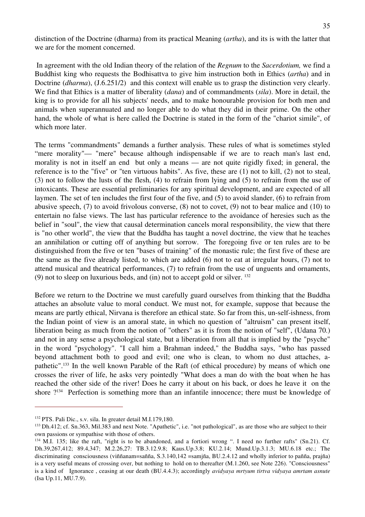distinction of the Doctrine (dharma) from its practical Meaning (*artha*), and its is with the latter that we are for the moment concerned.

 In agreement with the old Indian theory of the relation of the *Regnum* to the *Sacerdotium,* we find a Buddhist king who requests the Bodhisattva to give him instruction both in Ethics (*artha*) and in Doctrine *(dharma)*, (J.6.251/2) and this context will enable us to grasp the distinction very clearly. We find that Ethics is a matter of liberality (*dana*) and of commandments (*sila*). More in detail, the king is to provide for all his subjects' needs, and to make honourable provision for both men and animals when superannuated and no longer able to do what they did in their prime. On the other hand, the whole of what is here called the Doctrine is stated in the form of the "chariot simile", of which more later.

The terms "commandments" demands a further analysis. These rules of what is sometimes styled "mere morality"— "mere" because although indispensable if we are to reach man's last end, morality is not in itself an end but only a means — are not quite rigidly fixed; in general, the reference is to the "five" or "ten virtuous habits". As five, these are (1) not to kill, (2) not to steal, (3) not to follow the lusts of the flesh, (4) to refrain from lying and (5) to refrain from the use of intoxicants. These are essential preliminaries for any spiritual development, and are expected of all laymen. The set of ten includes the first four of the five, and (5) to avoid slander, (6) to refrain from abusive speech, (7) to avoid frivolous converse, (8) not to covet, (9) not to bear malice and (10) to entertain no false views. The last has particular reference to the avoidance of heresies such as the belief in "soul", the view that causal determination cancels moral responsibility, the view that there is "no other world", the view that the Buddha has taught a novel doctrine, the view that he teaches an annihilation or cutting off of anything but sorrow. The foregoing five or ten rules are to be distinguished from the five or ten "bases of training" of the monastic rule; the first five of these are the same as the five already listed, to which are added (6) not to eat at irregular hours, (7) not to attend musical and theatrical performances, (7) to refrain from the use of unguents and ornaments, (9) not to sleep on luxurious beds, and (in) not to accept gold or silver. <sup>132</sup>

Before we return to the Doctrine we must carefully guard ourselves from thinking that the Buddha attaches an absolute value to moral conduct. We must not, for example, suppose that because the means are partly ethical, Nirvana is therefore an ethical state. So far from this, un-self-ishness, from the Indian point of view is an amoral state, in which no question of "altruism" can present itself, liberation being as much from the notion of "others" as it is from the notion of "self", (Udana 70.) and not in any sense a psychological state, but a liberation from all that is implied by the "psyche" in the word "psychology". "I call him a Brahman indeed," the Buddha says, "who has passed beyond attachment both to good and evil; one who is clean, to whom no dust attaches, apathetic". 133 In the well known Parable of the Raft (of ethical procedure) by means of which one crosses the river of life, he asks very pointedly "What does a man do with the boat when he has reached the other side of the river! Does he carry it about on his back, or does he leave it on the shore ?134 Perfection is something more than an infantile innocence; there must be knowledge of

<sup>132</sup> PTS. Pali Dic., s.v. sila. In greater detail M.I.179,180.

<sup>133</sup> Dh.412; cf. Sn.363, Mil.383 and next Note. "Apathetic", i.e. "not pathological", as are those who are subject to their own passions or sympathise with those of others.

<sup>134</sup> M.I. 135; like the raft, "right is to be abandoned, and a fortiori wrong ". I need no further rafts" (Sn.21). Cf. Dh.39,267,412; 89.4,347; M.2.26,27: TB.3.12.9.8; Kaus.Up.3.8; KU.2.14; Mund.Up.3.1.3; MU.6.18 etc.; The discriminating consciousness (viññanam=sañña, S.3.140,142 =samjña, BU.2.4.12 and wholly inferior to pañña, prajña) is a very useful means of crossing over, but nothing to hold on to thereafter (M.1.260, see Note 226). "Consciousness" is a kind of Ignorance , ceasing at our death (BU.4.4.3); accordingly *avidyaya mrtyum tirtva vidyaya amrtam asnute* (Isa Up.11, MU.7.9).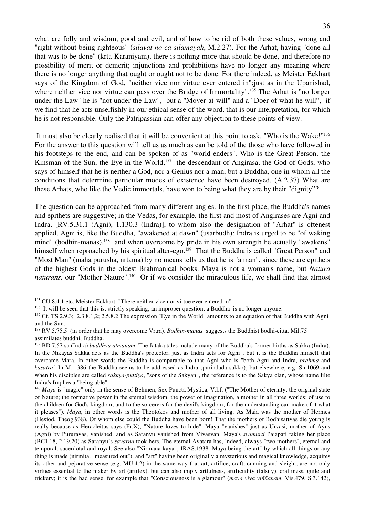what are folly and wisdom, good and evil, and of how to be rid of both these values, wrong and "right without being righteous" (*silavat no ca silamayah*, M.2.27). For the Arhat, having "done all that was to be done" (krta-Karaniyam), there is nothing more that should be done, and therefore no possibility of merit or demerit; injunctions and prohibitions have no longer any meaning where there is no longer anything that ought or ought not to be done. For there indeed, as Meister Eckhart says of the Kingdom of God, "neither vice nor virtue ever entered in";just as in the Upanishad, where neither vice nor virtue can pass over the Bridge of Immortality".<sup>135</sup> The Arhat is "no longer under the Law" he is "not under the Law", but a "Mover-at-will" and a "Doer of what he will", if we find that he acts unselfishly in our ethical sense of the word, that is our interpretation, for which he is not responsible. Only the Patripassian can offer any objection to these points of view.

 It must also be clearly realised that it will be convenient at this point to ask, "Who is the Wake!"136 For the answer to this question will tell us as much as can be told of the those who have followed in his footsteps to the end, and can be spoken of as "world-enders". Who is the Great Person, the Kinsman of the Sun, the Eye in the World, $137$  the descendant of Angirasa, the God of Gods, who says of himself that he is neither a God, nor a Genius nor a man, but a Buddha, one in whom all the conditions that determine particular modes of existence have been destroyed. (A.2.37) What are these Arhats, who like the Vedic immortals, have won to being what they are by their "dignity"?

The question can be approached from many different angles. In the first place, the Buddha's names and epithets are suggestive; in the Vedas, for example, the first and most of Angirases are Agni and Indra, [RV.5.31.1 (Agni), 1.130.3 (Indra)], to whom also the designation of "Arhat" is oftenest applied. Agni is, like the Buddha, "awakened at dawn" (usarbudh): Indra is urged to be "of waking mind" (bodhin-manas),<sup>138</sup> and when overcome by pride in his own strength he actually "awakens" himself when reproached by his spiritual alter-ego.<sup>139</sup> That the Buddha is called "Great Person" and "Most Man" (maha purusha, nrtama) by no means tells us that he is "a man", since these are epithets of the highest Gods in the oldest Brahmanical books. Maya is not a woman's name, but *Natura naturans*, our "Mother Nature".<sup>140</sup> Or if we consider the miraculous life, we shall find that almost

<sup>&</sup>lt;sup>135</sup> CU.8.4.1 etc. Meister Eckhart, "There neither vice nor virtue ever entered in"  $\frac{136}{136}$  It will be seen that this is, strictly speaking, an improper question; a Buddha is no longer anyone.

 $137$  Cf. TS.2.9.3; 2.3.8.1,2; 2.5.8.2 The expression "Eye in the World" amounts to an equation of that Buddha with Agni and the Sun.

<sup>138</sup> RV.5.75.5 (in order that he may overcome Vrtra). *Bodhin-manas* suggests the Buddhist bodhi-citta. Mil.75 assimilates buddhi, Buddha.

<sup>139</sup> BD.7.57 sa (Indra) *buddhva ātmanam*. The Jataka tales include many of the Buddha's former births as Sakka (Indra). In the Nikayas Sakka acts as the Buddha's protector, just as Indra acts for Agni ; but it is the Buddha himself that overcame Mara, In other words the Buddha is comparable to that Agni who is "both Agni and Indra, *brahma* and *kasatra'*. In M.1.386 the Buddha seems to be addressed as Indra (purindada sakko); but elsewhere, e.g. Sn.1069 and when his disciples are called *sakkya-puttiyo*, "sons of the Sakyan", the reference is to the Sakya clan, whose name lilte Indra's Implies a "being able",<br><sup>140</sup> *Maya* is "magic" only in the sense of Behmen, Sex Puncta Mystica, V.l.f. ("The Mother of eternity; the original state

of Nature; the formative power in the eternal wisdom, the power of imagination, a mother in all three worlds; of use to the children for God's kingdom, and to the sorcerers for the devil's kingdom; for the understanding can make of it what it pleases"). *Maya*, in other words is the Theotokos and mother of all living. As Maia was the mother of Hermes (Hesiod, Theog.938). Of whom else could the Buddha have been born! That the mothers of Bodhisattvas die young is really because as Heracleitus says (Fr.X), "Nature loves to hide". Maya "vanishes" just as Urvasi, mother of Ayus (Agni) by Pururavas, vanished, and as Saranyu vanished from Vivasvan; Maya's *svamurti* Pajapati taking her place (BC1.18, 2.19.20) as Saranyu's *savarna* took hers. The eternal Avatara has, Indeed, always "two mothers", eternal and temporal: sacerdotal and royal. See also "Nirmana-kaya", JRAS.1938. Maya being the art" by which all things or any thing is made (nirmita, "measured out"), and "art" having been originally a mysterious and magical knowledge, acquires its other and pejorative sense (e.g. MU.4.2) in the same way that art, artifice, craft, cunning and sleight, are not only virtues essential to the maker by art (artifex), but can also imply artfulness, artificiality (falsity), craftiness, guile and trickery; it is the bad sense, for example that "Consciousness is a glamour" (*maya viya viññanam*, Vis.479, S.3.142),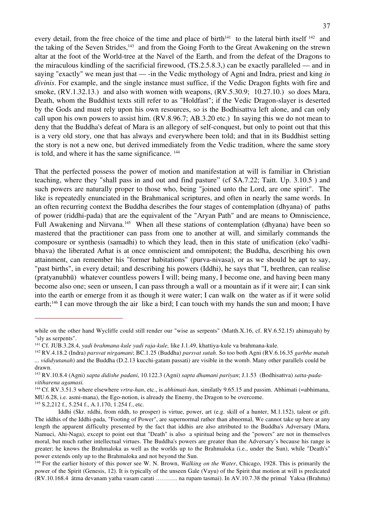every detail, from the free choice of the time and place of birth<sup>141</sup> to the lateral birth itself  $142$  and the taking of the Seven Strides,<sup>143</sup> and from the Going Forth to the Great Awakening on the strewn altar at the foot of the World-tree at the Navel of the Earth, and from the defeat of the Dragons to the miraculous kindling of the sacrificial firewood, (TS.2.5.8.3,) can be exactly paralleled — and in saying "exactly" we mean just that — -in the Vedic mythology of Agni and Indra, priest and king *in divinis*. For example, and the single instance must suffice, if the Vedic Dragon fights with fire and smoke, (RV.1.32.13.) and also with women with weapons, (RV.5.30.9; 10.27.10.) so does Mara, Death, whom the Buddhist texts still refer to as "Holdfast"; if the Vedic Dragon-slayer is deserted by the Gods and must rely upon his own resources, so is the Bodhisattva left alone, and can only call upon his own powers to assist him. (RV.8.96.7; AB.3.20 etc.) In saying this we do not mean to deny that the Buddha's defeat of Mara is an allegory of self-conquest, but only to point out that this is a very old story, one that has always and everywhere been told; and that in its Buddhist setting the story is not a new one, but derived immediately from the Vedic tradition, where the same story is told, and where it has the same significance. <sup>144</sup>

That the perfected possess the power of motion and manifestation at will is familiar in Christian teaching, where they "shall pass in and out and find pasture" (cf SA.7.22; Taitt. Up. 3.10.5 ) and such powers are naturally proper to those who, being "joined unto the Lord, are one spirit". The like is repeatedly enunciated in the Brahmanical scriptures, and often in nearly the same words. In an often recurring context the Buddha describes the four stages of contemplation (dhyana) of paths of power (riddhi-pada) that are the equivalent of the "Aryan Path" and are means to Omniscience, Full Awakening and Nirvana.<sup>145</sup> When all these stations of contemplation (dhyana) have been so mastered that the practitioner can pass from one to another at will, and similarly commands the composure or synthesis (samadhi) to which they lead, then in this state of unification (eko'vadhibhava) the liberated Arhat is at once omniscient and omnipotent; the Buddha, describing his own attainment, can remember his "former habitations" (purva-nivasa), or as we should be apt to say, "past births", in every detail; and describing his powers (Iddhi), he says that "I, brethren, can realise (pratyanubhū) whatever countless powers I will; being many, I become one, and having been many become also one; seen or unseen, I can pass through a wall or a mountain as if it were air; I can sink into the earth or emerge from it as though it were water; I can walk on the water as if it were solid earth;<sup>146</sup> I can move through the air like a bird; I can touch with my hands the sun and moon; I have

<sup>145</sup> S.2,212 f., 5.254 f., A.1.170, 1.254 f., etc.

while on the other hand Wycliffe could still render our "wise as serpents" (Matth.X.16, cf. RV.6.52.15) ahimayah) by "sly as serpents". 141 Cf. JUB.3.28.4, *yadi brahmana-kule yadi raja-kule,* like J.1.49, khattiya-kule va brahmana-kule.

<sup>142</sup> RV.4.18.2 (Indra) *parsvat nirgamani*; BC.1.25 (Buddha) *parsvat sutah*. So too both Agni (RV.6.16.35 *garbhe matuh ... vididyutanah*) and the Buddha (D.2.13 kucchi-gatam passati) are visible in the womb. Many other parallels could be drawn.

<sup>143</sup> RV.10.8.4 (Agni) *sapta didishe padani*, 10.122.3 (Agni) *sapta dhamani pariyan*; J.1.53 (Bodhisattva) *satta-padavitiharena agamasi.*

<sup>144</sup> Cf. RV.3.51.3 where elsewhere *vrtra-han*, etc., is *abhimati-han*, similatly 9.65.15 and passim. Abhimati (=abhimana, MU.6.28, i.e. asmi-mana), the Ego-notion, is already the Enemy, the Dragon to be overcome.

Iddhi (Skr. rddhi, from rddh, to prosper) is virtue, power, art (e.g. skill of a hunter, M.1.152), talent or gift. The iddhis of the Iddhi-pada, "Footing of Power", are supernormal rather than abnormal, We cannot take up here at any length the apparent difficulty presented by the fact that iddhis are also attributed to the Buddha's Adversary (Mara, Namuci, Ahi-Naga), except to point out that "Death" is also a spiritual being and the "powers" are not in themselves moral, but much rather intellectual virtues. The Buddha's powers are greater than the Adversary's because his range is greater; he knows the Brahmaloka as well as the worlds up to the Brahmaloka (i.e., under the Sun), while "Death's" power extends only up to the Brahmaloka and not beyond the Sun. 146 For the earlier history of this power see W. N. Brown, *Walking on the Water*, Chicago, 1928. This is primarily the

power of the Spirit (Genesis, 12). It is typically of the unseen Gale (Vayu) of the Spirit that motion at will is predicated (RV.10.168.4 ātma devanam yatha vasam carati ……….. na rupam tasmai). In AV.10.7.38 the primal Yaksa (Brahma)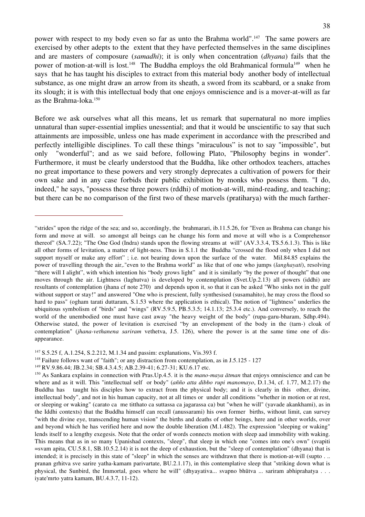power with respect to my body even so far as unto the Brahma world".<sup>147</sup> The same powers are exercised by other adepts to the extent that they have perfected themselves in the same disciplines and are masters of composure (*samadhi*); it is only when concentration (*dhyana*) fails that the power of motion-at-will is lost.<sup>148</sup> The Buddha employs the old Brahmanical formula<sup>149</sup> when he says that he has taught his disciples to extract from this material body another body of intellectual substance, as one might draw an arrow from its sheath, a sword from its scabbard, or a snake from its slough; it is with this intellectual body that one enjoys omniscience and is a mover-at-will as far as the Brahma-loka.150

Before we ask ourselves what all this means, let us remark that supernatural no more implies unnatural than super-essential implies unessential; and that it would be unscientific to say that such attainments are impossible, unless one has made experiment in accordance with the prescribed and perfectly intelligible disciplines. To call these things "miraculous" is not to say "impossible", but only "wonderful"; and as we said before, following Plato, "Philosophy begins in wonder". Furthermore, it must be clearly understood that the Buddha, like other orthodox teachers, attaches no great importance to these powers and very strongly deprecates a cultivation of powers for their own sake and in any case forbids their public exhibition by monks who possess them. "I do, indeed," he says, "possess these three powers (rddhi) of motion-at-will, mind-reading, and teaching; but there can be no comparison of the first two of these marvels (pratiharya) with the much farther-

<sup>&</sup>quot;strides" upon the ridge of the sea; and so, accordingly, the brahmarari, ib.11.5.26, for "Even as Brahma can change his form and move at will. so amongst all beings can he change his form and move at will who is a Comprehensor thereof" (SA.7.22); "The One God (Indra) stands upon the flowing streams at will" (AV.3.3.4, TS.5.6.1.3). This is like all other forms of levitation, a matter of light-ness. Thus in S.1.1 the Buddha "crossed the flood only when I did not support myself or make any effort"; i.e. not bearing down upon the surface of the water. Mil.84.85 explains the power of travelling through the air,."even to the Brahma world" as like that of one who jumps (*langhayati*), resolving "there will I alight", with which intention his "body grows light" and it is similarly "by the power of thought" that one moves through the air. Lightness (laghutva) is developed by contemplation (Svet.Up.2.13) all powers (iddhi) are resultants of contemplation (jhana cf note 270) and depends upon it, so that it can be asked "Who sinks not in the gulf without support or stay!" and answered "One who is prescient, fully synthesised (susamahito), he may cross the flood so hard to pass" (ogham tarati duttaram, S.1.53 where the application is ethical). The notion of "lightness" underlies the ubiquitous symbolism of "birds" and "wings" (RV.5.9.5, PB.5.3.5; 14.1.13; 25.3.4 etc.). And conversely, to reach the world of the unembodied one must have cast away "the heavy weight of the body" (rupa-garu-bharam, Sdhp.494). Otherwise stated, the power of levitation is exercised "by an envelopment of the body in the (tarn-) cloak of contemplation" (*jhana-vethanena sariram* vethetva, J.5. 126), where the power is at the same time one of disappearance.

<sup>147</sup> S.5.25 f, A.1.254, S.2.212, M.1.34 and passim: explanations, Vis.393 f.

<sup>148</sup> Failure follows want of "faith"; or any distraction from contemplation, as in J.5.125 - 127

<sup>149</sup> RV.9.86.44; JB.2.34; SB.4.3.4.5; AB.2.39-41; 6.27-31; KU.6.17 etc.

<sup>150</sup> As Sankara explains in connection with Pras.Up.4.5. it is the *mano-maya ātman* that enjoys omniscience and can be where and as it will. This "intellectual self or body" (*añño atta dibbo rupi manomayo*, D.1.34, cf. 1.77, M.2.17) the Buddha has taught his disciples how to extract from the physical body; and it is clearly in this other, divine, intellectual body", and not in his human capacity, not at all times or under all conditions "whether in motion or at rest, or sleeping or waking" (carato ca me titthato ca suttassa ca jagarassa ca) but "when he will" (yavade akankhami), as in the Iddhi contexts) that the Buddha himself can recall (anussarami) his own former births, without limit, can survey "with the divine eye, transcending human vision" the births and deaths of other beings, here and in other worlds, over and beyond which he has verified here and now the double liberation (M.1.482). The expression "sleeping or waking" lends itself to a lengthy exegesis. Note that the order of words connects motion with sleep aad immobility with waking. This means that as in so many Upanishad contexts, "sleep", that sleep in which one "comes into one's own" (svapiti =svam apita, CU.5.8.1, SB.10.5.2.14) it is not the deep of exhaustion, but the "sleep of contemplation" (dhyana) that is intended; it is precisely in this state of "sleep" in which the senses are withdrawn that there is motion-at-will (supto . .. pranan grhitva sve sarire yatha-kamam parivartate, BU.2.1.17), in this contemplative sleep that "striking down what is physical, the Sunbird, the Immortal, goes where he will" (dhyayativa... svapno bhūtva ... sariram abhiprahatya . . . iyate'mrto yatra kamam, BU.4.3.7, 11-12).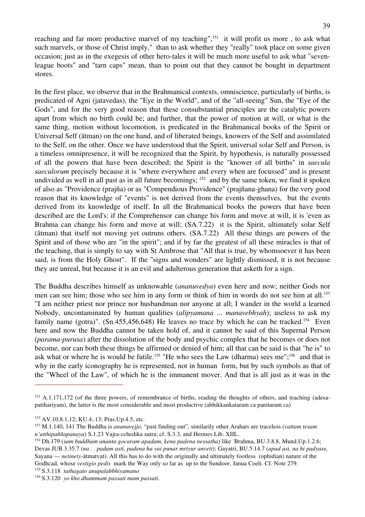reaching and far more productive marvel of my teaching", <sup>151</sup> it will profit us more, to ask what such marvels, or those of Christ imply," than to ask whether they "really" took place on some given occasion; just as in the exegesis of other hero-tales it will be much more useful to ask what "sevenleague boots" and "tarn caps" mean, than to point out that they cannot be bought in department stores.

In the first place, we observe that in the Brahmanical contexts, omniscience, particularly of births, is predicated of Agni (jatavedas), the "Eye in the World", and of the "all-seeing" Sun, the "Eye of the Gods", and for the very good reason that these consubstantial principles are the catalytic powers apart from which no birth could be; and further, that the power of motion at will, or what is the same thing, motion without locomotion, is predicated in the Brahmanical books of the Spirit or Universal Self (ātman) on the one hand, and of liberated beings, knowers of the Self and assimilated to the Self, on the other. Once we have understood that the Spirit, universal solar Self and Person, is a timeless omnipresence, it will be recognized that the Spirit, by hypothesis, is naturally possessed of all the powers that have been described; the Spirit is the "knower of all births" in *saecula saeculorum* precisely because it is "where everywhere and every when are focussed" and is present undivided as well in all past as in all future becomings; <sup>152</sup> and by the same token, we find it spoken of also as "Providence (prajña) or as "Compendious Providence" (prajñana-ghana) for the very good reason that its knowledge of "events" is not derived from the events themselves, but the events derived from its knowledge of itself. In all the Brahmanical books the powers that have been described are the Lord's: if the Comprehensor can change his form and move at will, it is 'even as Brahma can change his form and move at will; (SA.7.22) it is the Spirit, ultimately solar Self (ātman) that itself not moving yet outruns others. (SA.7.22) All these things are powers of the Spirit and of those who are "in the spirit"; and if by far the greatest of all these miracles is that of the teaching, that is simply to say with St Ambrose that "All that is true, by whomsoever it has been said, is from the Holy Ghost". If the "signs and wonders" are lightly dismissed, it is not because they are unreal, but because it is an evil and adulterous generation that asketh for a sign.

The Buddha describes himself as unknowable (*ananuvedya*) even here and now; neither Gods nor men can see him; those who see him in any form or think of him in words do not see him at all.<sup>153</sup> "I am neither priest nor prince nor husbandman nor anyone at all; I wander in the world a learned Nobody, uncontaminated by human qualities (*alipyamana* ... *manavebhyah*); useless to ask my family name (gotra)". (Sn.455,456,648) He leaves no trace by which he can be tracked.<sup>154</sup> Even here and now the Buddha cannot be taken hold of, and it cannot be said of this Supernal Person (*parama-purusa*) after the dissolution of the body and psychic complex that he becomes or does not become, nor can both these things be affirmed or denied of him; all that can be said is that "he is" to ask what or where he is would be futile.<sup>155</sup> "He who sees the Law (dharma) sees me";<sup>156</sup> and that is why in the early iconography he is represented, not in human form, but by such symbols as that of the "Wheel of the Law", of which he is the immanent mover. And that is all just as it was in the

<sup>&</sup>lt;sup>151</sup> A.1.171,172 (of the three powers, of remembrance of births, reading the thoughts of others, and teaching (adesapatihariyam), the latter is the most considerable and most productive (abhikkankataram ca panitaram ca)

<sup>152</sup> AV.10.8.1,12; KU.4..13; Pras.Up.4.5, etc.

<sup>153</sup> M.1.140, 141 The Buddha is *ananuvejjo,* "past finding out", similarily other Arahats are traceless (*vattam tesam n'atthipaññapanaya*) S.1.23 Vajra-cchedika sutra; cf. S.3.3, and Hermes Lib. XIIL.

<sup>154</sup> Dh.179 (*sam buddham ananta gocaram apadam, kena padena nessatha*) like Brahma, BU.3.8.8, Mund.Up.1.2.6; Devas JUB.3.35.7 (*na . . padam asti, padena ha vai punar mrtyur anveti*); Gayatri, BU.5.14.7 (*apad asi, na hi padyase,* Sayana — *netinety*-ātmatvat). All this has to do with the originally and ultimately footless (ophidian) nature of the Godhcad, whose *vestigio pedis* mark the Way only so far as up to the Sundoor, Janua Coeli. Cf. Note 279.

<sup>155</sup> S.3.118 *tathagato anupalabbhiyamano* <sup>156</sup> S.3.120 *yo kho dhammam passati mam passati*.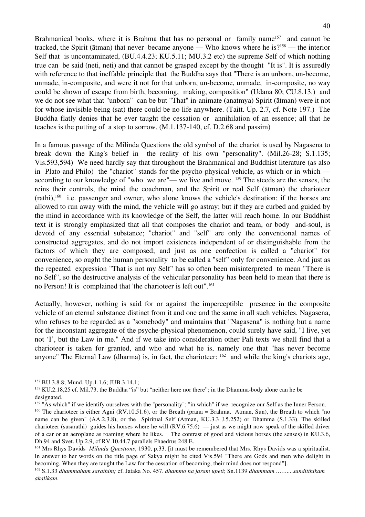Brahmanical books, where it is Brahma that has no personal or family name<sup>157</sup> and cannot be tracked, the Spirit (ātman) that never became anyone — Who knows where he is?158 — the interior Self that is uncontaminated, (BU.4.4.23; KU.5.11; MU.3.2 etc) the supreme Self of which nothing true can be said (neti, neti) and that cannot be grasped except by the thought "It is". It is assuredly with reference to that ineffable principle that the Buddha says that "There is an unborn, un-become, unmade, in-composite, and were it not for that unborn, un-become, unmade, in-composite, no way could be shown of escape from birth, becoming, making, composition" (Udana 80; CU.8.13.) and we do not see what that "unborn" can be but "That" in-animate (anatmya) Spirit (ātman) were it not for whose invisible being (sat) there could be no life anywhere. (Taitt. Up. 2.7, cf. Note 197.) The Buddha flatly denies that he ever taught the cessation or annihilation of an essence; all that he teaches is the putting of a stop to sorrow. (M.1.137-140, cf. D.2.68 and passim)

In a famous passage of the Milinda Questions the old symbol of the chariot is used by Nagasena to break down the King's belief in the reality of his own "personality". (Mil.26-28; S.1.135; Vis.593,594) We need hardly say that throughout the Brahmanical and Buddhist literature (as also in Plato and Philo) the "chariot" stands for the psycho-physical vehicle, as which or in which according to our knowledge of "who we are"— we live and move. 159 The steeds are the senses, the reins their controls, the mind the coachman, and the Spirit or real Self (ātman) the charioteer (rathi),160 i.e. passenger and owner, who alone knows the vehicle's destination; if the horses are allowed to run away with the mind, the vehicle will go astray; but if they are curbed and guided by the mind in accordance with its knowledge of the Self, the latter will reach home. In our Buddhist text it is strongly emphasized that all that composes the chariot and team, or body and-soul, is devoid of any essential substance; "chariot" and "self" are only the conventional names of constructed aggregates, and do not import existences independent of or distinguishable from the factors of which they are composed; and just as one confection is called a "chariot" for convenience, so ought the human personality to be called a "self" only for convenience. And just as the repeated expression "That is not my Self" has so often been misinterpreted to mean "There is no Self", so the destructive analysis of the vehicular personality has been held to mean that there is no Person! It is complained that 'the charioteer is left out".<sup>161</sup>

Actually, however, nothing is said for or against the imperceptible presence in the composite vehicle of an eternal substance distinct from it and one and the same in all such vehicles. Nagasena, who refuses to be regarded as a "somebody" and maintains that "Nagasena" is nothing but a name for the inconstant aggregate of the psyche-physical phenomenon, could surely have said, "I live, yet not 'I', but the Law in me." And if we take into consideration other Pali texts we shall find that a charioteer is taken for granted, and who and what he is, namely one that "has never become anyone" The Eternal Law (dharma) is, in fact, the charioteer: 162 and while the king's chariots age,

<sup>157</sup> BU.3.8.8; Mund. Up.1.1.6; JUB.3.14.1;

<sup>158</sup> KU.2.18,25 cf. Mil.73, the Buddha "is" but "neither here nor there"; in the Dhamma-body alone can he be designated.

<sup>&</sup>lt;sup>159</sup> "As which" if we identify ourselves with the "personality"; "in which" if we recognize our Self as the Inner Person. <sup>160</sup> The charioteer is either Agni (RV.10.51.6), or the Breath (prana = Brahma, Atman, Sun), the Breath to which "no

name can be given" (AA.2.3.8), or the Spiritual Self (Atman, KU.3.3 J.5.252) or Dhamma (S.1.33). The skilled charioteer (susarathi) guides his horses where he will  $(RV.6.75.6)$  — just as we might now speak of the skilled driver of a car or an aeroplane as roaming where he likes. The contrast of good and vicious horses (the senses) in KU.3.6, Dh.94 and Svet. Up.2.9, cf RV.10.44.7 parallels Phaedrus 248 E.

<sup>&</sup>lt;sup>161</sup> Mrs Rhys Davids *Milinda Questions*, 1930, p.33. [it must be remembered that Mrs. Rhys Davids was a spiritualist. In answer to her words on the title page of Sakya might be cited Vis.594 "There are Gods and men who delight in becoming. When they are taught the Law for the cessation of becoming, their mind does not respond"].

<sup>162</sup> S.1.33 *dhammaham sarathim;* cf. Jataka No. 457. *dhammo na jaram upeti*; Sn.1139 *dhammam ……....sanditthikam akalikam*.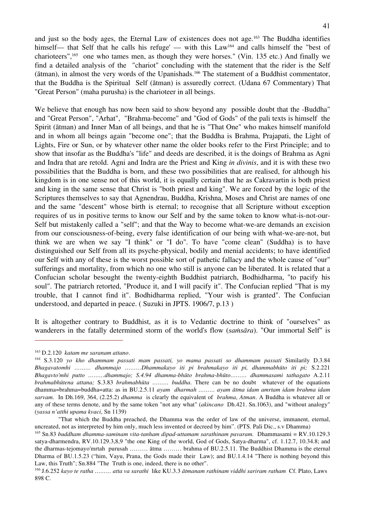and just so the body ages, the Eternal Law of existences does not age.<sup>163</sup> The Buddha identifies himself— that Self that he calls his refuge' — with this Law<sup>164</sup> and calls himself the "best of charioteers",165 one who tames men, as though they were horses." (Vin. 135 etc.) And finally we find a detailed analysis of the "chariot" concluding with the statement that the rider is the Self (ātman), in almost the very words of the Upanishads.166 The statement of a Buddhist commentator, that the Buddha is the Spiritual Self (ātman) is assuredly correct. (Udana 67 Commentary) That "Great Person" (maha purusha) is the charioteer in all beings.

We believe that enough has now been said to show beyond any possible doubt that the -Buddha" and "Great Person", "Arhat", "Brahma-become" and "God of Gods" of the pali texts is himself the Spirit (ātman) and Inner Man of all beings, and that he is "That One" who makes himself manifold and in whom all beings again "become one"; that the Buddha is Brahma, Prajapati, the Light of Lights, Fire or Sun, or by whatever other name the older books refer to the First Principle; and to show that insofar as the Buddha's "life" and deeds are described, it is the doings of Brahma as Agni and Indra that are retold. Agni and Indra are the Priest and King *in divinis*, and it is with these two possibilities that the Buddha is born, and these two possibilities that are realised, for although his kingdom is in one sense not of this world, it is equally certain that he as Cakravartin is both priest and king in the same sense that Christ is "both priest and king". We are forced by the logic of the Scriptures themselves to say that Agnendrau, Buddha, Krishna, Moses and Christ are names of one and the same "descent" whose birth is eternal; to recognise that all Scripture without exception requires of us in positive terms to know our Self and by the same token to know what-is-not-our-Self but mistakenly called a "self"; and that the Way to become what-we-are demands an excision from our consciousness-of-being, every false identification of our being with what-we-are-not, but think we are when we say "I think" or "I do". To have "come clean" (Suddha) is to have distinguished our Self from all its psyche-physical, bodily and menial accidents; to have identified our Self with any of these is the worst possible sort of pathetic fallacy and the whole cause of "our" sufferings and mortality, from which no one who still is anyone can be liberated. It is related that a Confucian scholar besought the twenty-eighth Buddhist patriarch, Bodhidharma, "to pacify his soul". The patriarch retorted, "Produce it, and I will pacify it". The Confucian replied "That is my trouble, that I cannot find it". Bodhidharma replied, "Your wish is granted". The Confucian understood, and departed in peace. ( Suzuki in JPTS. 1906/7, p.13 )

It is altogether contrary to Buddhist, as it is to Vedantic doctrine to think of "ourselves" as wanderers in the fatally determined storm of the world's flow (*saṁsāra*). "Our immortal Self" is

<sup>163</sup> D.2.120 *katam me saranam attano*.

<sup>164</sup> S.3.120 *yo kho dhammam passati mam passati, yo mama passati so dhammam passati* Similarily D.3.84 *Bhagavatomhi ……… dhammajo ………Dhammakayo iti pi brahmakayo iti pi, dhammabhūto iti pi;* S.2.221 *Bhagavto'mhi putto ………dhammajo; S.4.94 dhamma-bhūto brahma-bhūto……… dhammasami tathagato* A.2.11 *brahmabhūtena attana;* S.3.83 *brahmabhūta ……… buddha*. There can be no doubt whatever of the equations dhamma=brahma=buddha=atta: as in BU.2.5.11 *ayam dharmah ……… ayam ātma idam amrtam idam brahma idam sarvam.* In Dh.169, 364, (2.25.2) *dhamma* is clearly the equivalent of *brahma*, *Atman*. A Buddha is whatever all or any of these terms denote, and by the same token "not any what" (*akincano* Dh.421. Sn.1063), and "without analogy" (*yassa n'atthi upama kvaci*, Sn 1139)

<sup>&</sup>quot;That which the Buddha preached, the Dhamma was the order of law of the universe, immanent, eternal, uncreated, not as interpreted by him only, much less invented or decreed by him". (PTS. Pali Dic., s.v Dhamma)

<sup>&</sup>lt;sup>165</sup> Sn.83 *buddham dhamma-saminam vita-tanham dipad-uttamam sarathinam pavaram.* Dhammasami = RV.10.129.3 satya-dharmendra, RV.10.129.3,8,9 "the one King of the world, God of Gods, Satya-dharma", cf. 1.12.7, 10.34.8; and the dharmas-tejomayo'mrtah purusah ……… ātma ……… brahma of BU.2.5.11. The Buddhist Dhamma is the eternal Dharma of BU.1.5.23 ("him, Vayu, Prana, the Gods made their Law); and BU.1.4.14 "There is nothing beyond this Law, this Truth"; Sn.884 "The Truth is one, indeed, there is no other".

<sup>166</sup> J.6.252 *kayo te ratha ……… atta va sarathi* like KU.3.3 *ātmanam rathinam viddhi sariram ratham* Cf. Plato, Laws 898 C.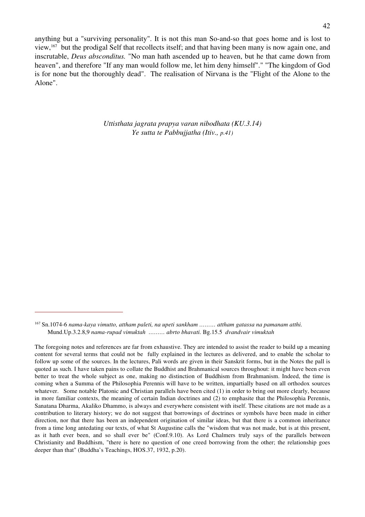anything but a "surviving personality". It is not this man So-and-so that goes home and is lost to view,167 but the prodigal Self that recollects itself; and that having been many is now again one, and inscrutable, *Deus absconditus.* "No man hath ascended up to heaven, but he that came down from heaven", and therefore "If any man would follow me, let him deny himself"." "The kingdom of God is for none but the thoroughly dead". The realisation of Nirvana is the "Flight of the Alone to the Alone".

> *Uttisthata jagrata prapya varan nibodhata (KU.3.14) Ye sutta te Pabbujjatha (Itiv., p.41)*

<sup>167</sup> Sn.1074-6 *nama-kaya vimutto, attham paleti, na upeti sankham ……… attham gatassa na pamanam atthi.*  Mund.Up.3.2.8,9 *nama-rupad vimuktah ……… abrto bhavati.* Bg.15.5 *dvandvair vimuktah*

The foregoing notes and references are far from exhaustive. They are intended to assist the reader to build up a meaning content for several terms that could not be fully explained in the lectures as delivered, and to enable the scholar to follow up some of the sources. In the lectures, Pali words are given in their Sanskrit forms, but in the Notes the pall is quoted as such. I have taken pains to collate the Buddhist and Brahmanical sources throughout: it might have been even better to treat the whole subject as one, making no distinction of Buddhism from Brahmanism. Indeed, the time is coming when a Summa of the Philosophia Perennis will have to be written, impartially based on all orthodox sources whatever. Some notable Platonic and Christian parallels have been cited (1) in order to bring out more clearly, because in more familiar contexts, the meaning of certain Indian doctrines and (2) to emphasite that the Philosophia Perennis, Sanatana Dharma, Akaliko Dhammo, is always and everywhere consistent with itself. These citations are not made as a contribution to literary history; we do not suggest that borrowings of doctrines or symbols have been made in either direction, nor that there has been an independent origination of similar ideas, but that there is a common inheritance from a time long antedating our texts, of what St Augustine calls the "wisdom that was not made, but is at this present, as it hath ever been, and so shall ever be" (Conf.9.10). As Lord Chalmers truly says of the parallels between Christianity and Buddhism, "there is here no question of one creed borrowing from the other; the relationship goes deeper than that" (Buddha's Teachings, HOS.37, 1932, p.20).